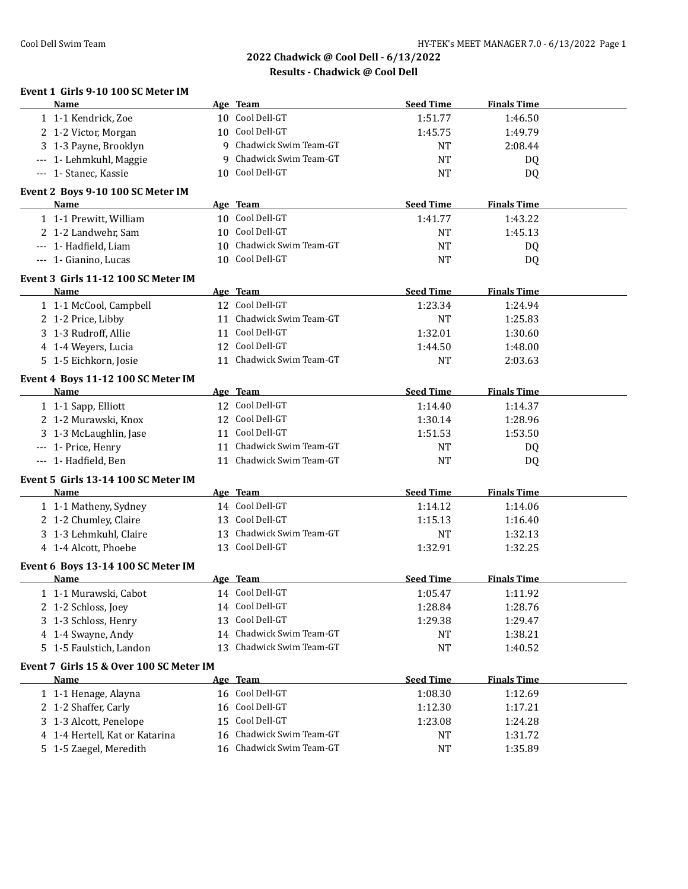# **2022 Chadwick @ Cool Dell - 6/13/2022 Results - Chadwick @ Cool Dell**

| Event 1 Girls 9-10 100 SC Meter IM<br>Name        |    | Age Team                                                                                                                                                                                                                       | <b>Seed Time</b> | <b>Finals Time</b> |  |
|---------------------------------------------------|----|--------------------------------------------------------------------------------------------------------------------------------------------------------------------------------------------------------------------------------|------------------|--------------------|--|
| 1 1-1 Kendrick, Zoe                               |    | 10 Cool Dell-GT                                                                                                                                                                                                                | 1:51.77          | 1:46.50            |  |
| 2 1-2 Victor, Morgan                              |    | 10 Cool Dell-GT                                                                                                                                                                                                                | 1:45.75          | 1:49.79            |  |
| 3 1-3 Payne, Brooklyn                             |    | 9 Chadwick Swim Team-GT                                                                                                                                                                                                        | <b>NT</b>        | 2:08.44            |  |
| --- 1- Lehmkuhl, Maggie                           |    | 9 Chadwick Swim Team-GT                                                                                                                                                                                                        | <b>NT</b>        | DQ                 |  |
| --- 1- Stanec, Kassie                             |    | 10 Cool Dell-GT                                                                                                                                                                                                                | <b>NT</b>        | DQ                 |  |
| Event 2 Boys 9-10 100 SC Meter IM                 |    |                                                                                                                                                                                                                                |                  |                    |  |
| Name                                              |    | Age Team                                                                                                                                                                                                                       | <b>Seed Time</b> | <b>Finals Time</b> |  |
| 1 1-1 Prewitt, William                            |    | 10 Cool Dell-GT                                                                                                                                                                                                                | 1:41.77          | 1:43.22            |  |
| 2 1-2 Landwehr, Sam                               |    | 10 Cool Dell-GT                                                                                                                                                                                                                | NT               | 1:45.13            |  |
| --- 1- Hadfield, Liam                             |    | 10 Chadwick Swim Team-GT                                                                                                                                                                                                       | <b>NT</b>        | DQ                 |  |
| --- 1- Gianino, Lucas                             |    | 10 Cool Dell-GT                                                                                                                                                                                                                | <b>NT</b>        | DQ                 |  |
|                                                   |    |                                                                                                                                                                                                                                |                  |                    |  |
| Event 3 Girls 11-12 100 SC Meter IM               |    |                                                                                                                                                                                                                                |                  |                    |  |
| <b>Name</b>                                       |    | Age Team                                                                                                                                                                                                                       | <b>Seed Time</b> | <b>Finals Time</b> |  |
| 1 1-1 McCool, Campbell                            |    | 12 Cool Dell-GT                                                                                                                                                                                                                | 1:23.34          | 1:24.94            |  |
| 2 1-2 Price, Libby                                |    | 11 Chadwick Swim Team-GT                                                                                                                                                                                                       | <b>NT</b>        | 1:25.83            |  |
| 3 1-3 Rudroff, Allie                              |    | 11 Cool Dell-GT                                                                                                                                                                                                                | 1:32.01          | 1:30.60            |  |
| 4 1-4 Weyers, Lucia                               |    | 12 Cool Dell-GT                                                                                                                                                                                                                | 1:44.50          | 1:48.00            |  |
| 5 1-5 Eichkorn, Josie                             |    | 11 Chadwick Swim Team-GT                                                                                                                                                                                                       | <b>NT</b>        | 2:03.63            |  |
| Event 4 Boys 11-12 100 SC Meter IM                |    |                                                                                                                                                                                                                                |                  |                    |  |
| Name                                              |    | Age Team                                                                                                                                                                                                                       | <b>Seed Time</b> | <b>Finals Time</b> |  |
| 1 1-1 Sapp, Elliott                               |    | 12 Cool Dell-GT                                                                                                                                                                                                                | 1:14.40          | 1:14.37            |  |
| 2 1-2 Murawski, Knox                              |    | 12 Cool Dell-GT                                                                                                                                                                                                                | 1:30.14          | 1:28.96            |  |
| 3 1-3 McLaughlin, Jase                            |    | 11 Cool Dell-GT                                                                                                                                                                                                                | 1:51.53          | 1:53.50            |  |
| --- 1- Price, Henry                               |    | 11 Chadwick Swim Team-GT                                                                                                                                                                                                       | NT               | DQ                 |  |
| --- 1- Hadfield, Ben                              |    | 11 Chadwick Swim Team-GT                                                                                                                                                                                                       | <b>NT</b>        | <b>DQ</b>          |  |
| Event 5 Girls 13-14 100 SC Meter IM               |    |                                                                                                                                                                                                                                |                  |                    |  |
| <b>Name</b>                                       |    | Age Team and the state of the state of the state of the state of the state of the state of the state of the state of the state of the state of the state of the state of the state of the state of the state of the state of t | <b>Seed Time</b> | <b>Finals Time</b> |  |
| 1 1-1 Matheny, Sydney                             |    | 14 Cool Dell-GT                                                                                                                                                                                                                | 1:14.12          | 1:14.06            |  |
| 2 1-2 Chumley, Claire                             |    | 13 Cool Dell-GT                                                                                                                                                                                                                | 1:15.13          | 1:16.40            |  |
| 3 1-3 Lehmkuhl, Claire                            |    | 13 Chadwick Swim Team-GT                                                                                                                                                                                                       | NT               | 1:32.13            |  |
| 4 1-4 Alcott, Phoebe                              |    | 13 Cool Dell-GT                                                                                                                                                                                                                | 1:32.91          | 1:32.25            |  |
|                                                   |    |                                                                                                                                                                                                                                |                  |                    |  |
| Event 6 Boys 13-14 100 SC Meter IM<br><u>Name</u> |    | Age Team                                                                                                                                                                                                                       | <b>Seed Time</b> | <b>Finals Time</b> |  |
| 1 1-1 Murawski, Cabot                             |    | 14 Cool Dell-GT                                                                                                                                                                                                                | 1:05.47          | 1:11.92            |  |
| 2 1-2 Schloss, Joey                               |    | 14 Cool Dell-GT                                                                                                                                                                                                                | 1:28.84          | 1:28.76            |  |
| 3 1-3 Schloss, Henry                              | 13 | Cool Dell-GT                                                                                                                                                                                                                   | 1:29.38          | 1:29.47            |  |
| 4 1-4 Swayne, Andy                                | 14 | Chadwick Swim Team-GT                                                                                                                                                                                                          | NT               | 1:38.21            |  |
| 5 1-5 Faulstich, Landon                           |    | 13 Chadwick Swim Team-GT                                                                                                                                                                                                       | <b>NT</b>        | 1:40.52            |  |
|                                                   |    |                                                                                                                                                                                                                                |                  |                    |  |
| Event 7 Girls 15 & Over 100 SC Meter IM           |    |                                                                                                                                                                                                                                |                  |                    |  |
| Name                                              |    | Age Team                                                                                                                                                                                                                       | <b>Seed Time</b> | <b>Finals Time</b> |  |
| 1 1-1 Henage, Alayna                              |    | 16 Cool Dell-GT                                                                                                                                                                                                                | 1:08.30          | 1:12.69            |  |
| 2 1-2 Shaffer, Carly                              |    | 16 Cool Dell-GT                                                                                                                                                                                                                | 1:12.30          | 1:17.21            |  |
| 3 1-3 Alcott, Penelope                            | 15 | Cool Dell-GT                                                                                                                                                                                                                   | 1:23.08          | 1:24.28            |  |
| 4 1-4 Hertell, Kat or Katarina                    | 16 | Chadwick Swim Team-GT                                                                                                                                                                                                          | <b>NT</b>        | 1:31.72            |  |
| 5 1-5 Zaegel, Meredith                            |    | 16 Chadwick Swim Team-GT                                                                                                                                                                                                       | <b>NT</b>        | 1:35.89            |  |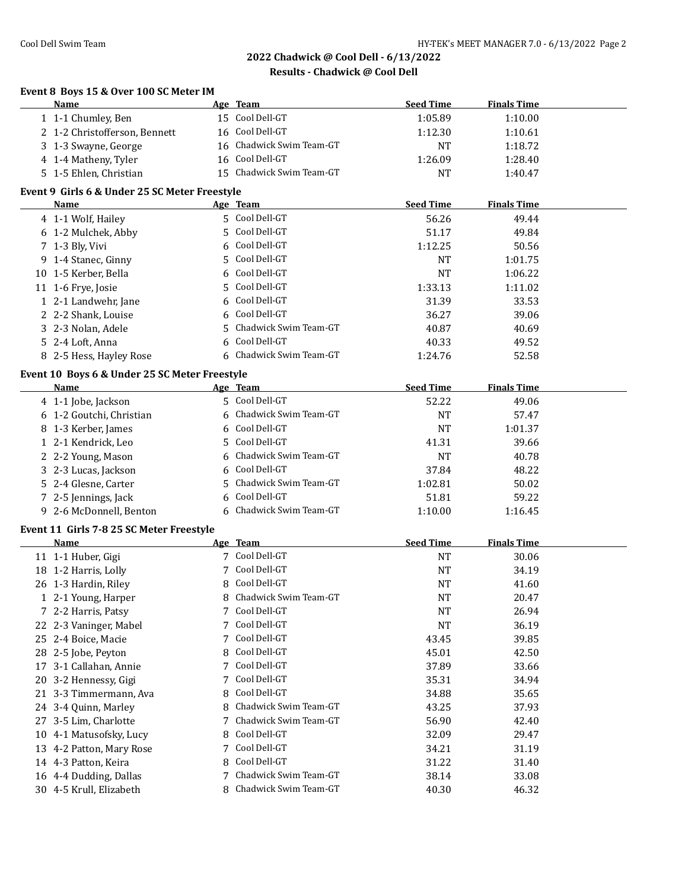| Event 8 Boys 15 & Over 100 SC Meter IM |  |
|----------------------------------------|--|
| $\mathbf{M}$ and $\mathbf{M}$          |  |

| <b>Name</b>                                   |         | Age Team                 | <b>Seed Time</b> | <b>Finals Time</b> |  |
|-----------------------------------------------|---------|--------------------------|------------------|--------------------|--|
| 1 1-1 Chumley, Ben                            |         | 15 Cool Dell-GT          | 1:05.89          | 1:10.00            |  |
| 2 1-2 Christofferson, Bennett                 |         | 16 Cool Dell-GT          | 1:12.30          | 1:10.61            |  |
| 3 1-3 Swayne, George                          |         | 16 Chadwick Swim Team-GT | <b>NT</b>        | 1:18.72            |  |
| 4 1-4 Matheny, Tyler                          |         | 16 Cool Dell-GT          | 1:26.09          | 1:28.40            |  |
| 5 1-5 Ehlen, Christian                        |         | 15 Chadwick Swim Team-GT | <b>NT</b>        | 1:40.47            |  |
| Event 9 Girls 6 & Under 25 SC Meter Freestyle |         |                          |                  |                    |  |
| Name                                          |         | Age Team                 | <b>Seed Time</b> | <b>Finals Time</b> |  |
| 4 1-1 Wolf, Hailey                            |         | 5 Cool Dell-GT           | 56.26            | 49.44              |  |
| 6 1-2 Mulchek, Abby                           |         | 5 Cool Dell-GT           | 51.17            | 49.84              |  |
| 7 1-3 Bly, Vivi                               |         | 6 Cool Dell-GT           | 1:12.25          | 50.56              |  |
| 9 1-4 Stanec, Ginny                           | 5.      | Cool Dell-GT             | <b>NT</b>        | 1:01.75            |  |
| 10 1-5 Kerber, Bella                          | 6       | Cool Dell-GT             | <b>NT</b>        | 1:06.22            |  |
| 11 1-6 Frye, Josie                            | 5       | Cool Dell-GT             | 1:33.13          | 1:11.02            |  |
|                                               |         | Cool Dell-GT             |                  |                    |  |
| 1 2-1 Landwehr, Jane                          | 6       | Cool Dell-GT             | 31.39            | 33.53              |  |
| 2 2-2 Shank, Louise<br>3 2-3 Nolan, Adele     | 6<br>5. | Chadwick Swim Team-GT    | 36.27            | 39.06              |  |
|                                               |         | Cool Dell-GT             | 40.87            | 40.69              |  |
| 5 2-4 Loft, Anna                              | 6       |                          | 40.33            | 49.52              |  |
| 8 2-5 Hess, Hayley Rose                       |         | Chadwick Swim Team-GT    | 1:24.76          | 52.58              |  |
| Event 10 Boys 6 & Under 25 SC Meter Freestyle |         |                          |                  |                    |  |
| <b>Name</b>                                   |         | Age Team                 | <b>Seed Time</b> | <b>Finals Time</b> |  |
| 4 1-1 Jobe, Jackson                           |         | 5 Cool Dell-GT           | 52.22            | 49.06              |  |
| 6 1-2 Goutchi, Christian                      |         | 6 Chadwick Swim Team-GT  | <b>NT</b>        | 57.47              |  |
| 8 1-3 Kerber, James                           |         | Cool Dell-GT             | <b>NT</b>        | 1:01.37            |  |
| 1 2-1 Kendrick, Leo                           | 5       | Cool Dell-GT             | 41.31            | 39.66              |  |
| 2 2-2 Young, Mason                            |         | Chadwick Swim Team-GT    | <b>NT</b>        | 40.78              |  |
| 3 2-3 Lucas, Jackson                          |         | Cool Dell-GT             | 37.84            | 48.22              |  |
| 5 2-4 Glesne, Carter                          | 5.      | Chadwick Swim Team-GT    | 1:02.81          | 50.02              |  |
| 7 2-5 Jennings, Jack                          |         | Cool Dell-GT             | 51.81            | 59.22              |  |
| 9 2-6 McDonnell, Benton                       |         | 6 Chadwick Swim Team-GT  | 1:10.00          | 1:16.45            |  |
| Event 11 Girls 7-8 25 SC Meter Freestyle      |         |                          |                  |                    |  |
| Name                                          |         | Age Team                 | <b>Seed Time</b> | <b>Finals Time</b> |  |
| 11 1-1 Huber, Gigi                            |         | 7 Cool Dell-GT           | <b>NT</b>        | 30.06              |  |
| 18 1-2 Harris, Lolly                          |         | 7 Cool Dell-GT           | <b>NT</b>        | 34.19              |  |
| 26 1-3 Hardin, Riley                          | 8       | Cool Dell-GT             | <b>NT</b>        | 41.60              |  |
| 1 2-1 Young, Harper                           |         | 8 Chadwick Swim Team-GT  | <b>NT</b>        | 20.47              |  |
| 7 2-2 Harris, Patsy                           | 7       | Cool Dell-GT             | NT               | 26.94              |  |
| 22 2-3 Vaninger, Mabel                        | 7       | Cool Dell-GT             | <b>NT</b>        | 36.19              |  |
| 25 2-4 Boice, Macie                           | 7       | Cool Dell-GT             | 43.45            | 39.85              |  |
| 28 2-5 Jobe, Peyton                           | 8       | Cool Dell-GT             | 45.01            | 42.50              |  |
| 17 3-1 Callahan, Annie                        | 7       | Cool Dell-GT             | 37.89            | 33.66              |  |
| 20 3-2 Hennessy, Gigi                         | 7       | Cool Dell-GT             | 35.31            | 34.94              |  |
| 21 3-3 Timmermann, Ava                        | 8       | Cool Dell-GT             | 34.88            | 35.65              |  |
| 24 3-4 Quinn, Marley                          | 8       | Chadwick Swim Team-GT    | 43.25            | 37.93              |  |
| 27 3-5 Lim, Charlotte                         | 7       | Chadwick Swim Team-GT    | 56.90            | 42.40              |  |
| 10 4-1 Matusofsky, Lucy                       | 8       | Cool Dell-GT             | 32.09            | 29.47              |  |
| 13 4-2 Patton, Mary Rose                      | 7       | Cool Dell-GT             | 34.21            | 31.19              |  |
| 14 4-3 Patton, Keira                          | 8       | Cool Dell-GT             | 31.22            | 31.40              |  |
| 16 4-4 Dudding, Dallas                        | 7       | Chadwick Swim Team-GT    | 38.14            | 33.08              |  |
| 30 4-5 Krull, Elizabeth                       |         | 8 Chadwick Swim Team-GT  | 40.30            | 46.32              |  |
|                                               |         |                          |                  |                    |  |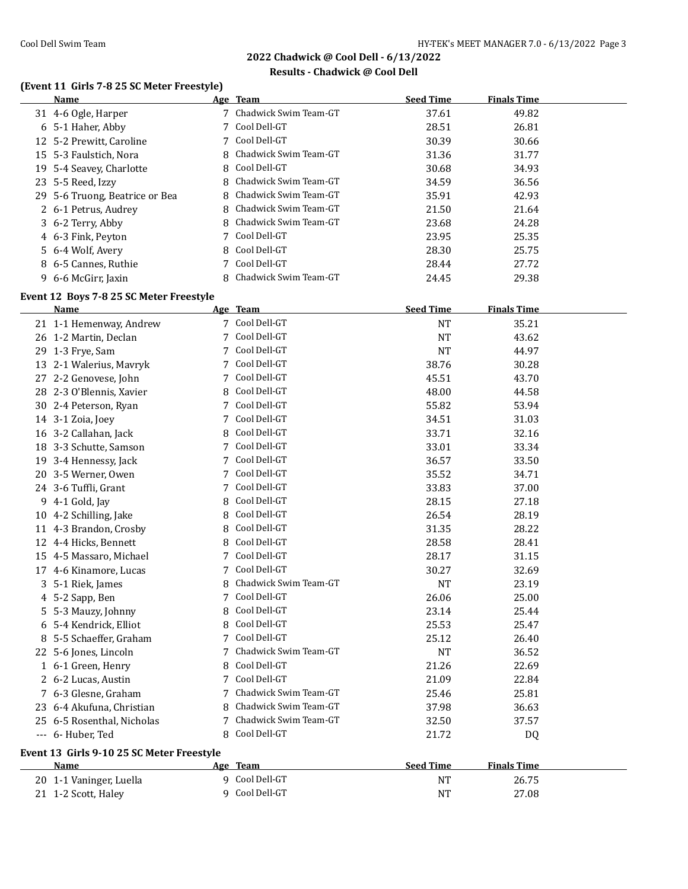# **Results - Chadwick @ Cool Dell**

# **(Event 11 Girls 7-8 25 SC Meter Freestyle)**

| Name                           | Age Team                | <b>Seed Time</b> | <b>Finals Time</b> |  |
|--------------------------------|-------------------------|------------------|--------------------|--|
| 31 4-6 Ogle, Harper            | 7 Chadwick Swim Team-GT | 37.61            | 49.82              |  |
| 6 5-1 Haher, Abby              | 7 Cool Dell-GT          | 28.51            | 26.81              |  |
| 12 5-2 Prewitt, Caroline       | 7 Cool Dell-GT          | 30.39            | 30.66              |  |
| 15 5-3 Faulstich, Nora         | 8 Chadwick Swim Team-GT | 31.36            | 31.77              |  |
| 19 5-4 Seavey, Charlotte       | 8 Cool Dell-GT          | 30.68            | 34.93              |  |
| 23 5-5 Reed, Izzy              | 8 Chadwick Swim Team-GT | 34.59            | 36.56              |  |
| 29 5-6 Truong, Beatrice or Bea | 8 Chadwick Swim Team-GT | 35.91            | 42.93              |  |
| 2 6-1 Petrus, Audrey           | 8 Chadwick Swim Team-GT | 21.50            | 21.64              |  |
| 3 6-2 Terry, Abby              | 8 Chadwick Swim Team-GT | 23.68            | 24.28              |  |
| 4 6-3 Fink, Peyton             | 7 Cool Dell-GT          | 23.95            | 25.35              |  |
| 5 6-4 Wolf, Avery              | 8 Cool Dell-GT          | 28.30            | 25.75              |  |
| 8 6-5 Cannes, Ruthie           | 7 Cool Dell-GT          | 28.44            | 27.72              |  |
| 9 6-6 McGirr, Jaxin            | 8 Chadwick Swim Team-GT | 24.45            | 29.38              |  |

# **Event 12 Boys 7-8 25 SC Meter Freestyle**

| Name                                      |   | Age Team              | <b>Seed Time</b> | <b>Finals Time</b> |  |
|-------------------------------------------|---|-----------------------|------------------|--------------------|--|
| 21 1-1 Hemenway, Andrew                   |   | 7 Cool Dell-GT        | <b>NT</b>        | 35.21              |  |
| 26 1-2 Martin, Declan                     | 7 | Cool Dell-GT          | <b>NT</b>        | 43.62              |  |
| 29 1-3 Frye, Sam                          | 7 | Cool Dell-GT          | <b>NT</b>        | 44.97              |  |
| 13 2-1 Walerius, Mavryk                   |   | Cool Dell-GT          | 38.76            | 30.28              |  |
| 27 2-2 Genovese, John                     | 7 | Cool Dell-GT          | 45.51            | 43.70              |  |
| 28 2-3 O'Blennis, Xavier                  |   | Cool Dell-GT          | 48.00            | 44.58              |  |
| 30 2-4 Peterson, Ryan                     |   | Cool Dell-GT          | 55.82            | 53.94              |  |
| 14 3-1 Zoia, Joey                         |   | Cool Dell-GT          | 34.51            | 31.03              |  |
| 16 3-2 Callahan, Jack                     | 8 | Cool Dell-GT          | 33.71            | 32.16              |  |
| 18 3-3 Schutte, Samson                    | 7 | Cool Dell-GT          | 33.01            | 33.34              |  |
| 19 3-4 Hennessy, Jack                     | 7 | Cool Dell-GT          | 36.57            | 33.50              |  |
| 20 3-5 Werner, Owen                       | 7 | Cool Dell-GT          | 35.52            | 34.71              |  |
| 24 3-6 Tuffli, Grant                      | 7 | Cool Dell-GT          | 33.83            | 37.00              |  |
| 9 4-1 Gold, Jay                           | 8 | Cool Dell-GT          | 28.15            | 27.18              |  |
| 10 4-2 Schilling, Jake                    | 8 | Cool Dell-GT          | 26.54            | 28.19              |  |
| 11 4-3 Brandon, Crosby                    | 8 | Cool Dell-GT          | 31.35            | 28.22              |  |
| 12 4-4 Hicks, Bennett                     | 8 | Cool Dell-GT          | 28.58            | 28.41              |  |
| 15 4-5 Massaro, Michael                   | 7 | Cool Dell-GT          | 28.17            | 31.15              |  |
| 17 4-6 Kinamore, Lucas                    | 7 | Cool Dell-GT          | 30.27            | 32.69              |  |
| 3 5-1 Riek, James                         |   | Chadwick Swim Team-GT | <b>NT</b>        | 23.19              |  |
| 4 5-2 Sapp, Ben                           | 7 | Cool Dell-GT          | 26.06            | 25.00              |  |
| 5 5-3 Mauzy, Johnny                       | 8 | Cool Dell-GT          | 23.14            | 25.44              |  |
| 6 5-4 Kendrick, Elliot                    | 8 | Cool Dell-GT          | 25.53            | 25.47              |  |
| 8 5-5 Schaeffer, Graham                   | 7 | Cool Dell-GT          | 25.12            | 26.40              |  |
| 22 5-6 Jones, Lincoln                     | 7 | Chadwick Swim Team-GT | <b>NT</b>        | 36.52              |  |
| 1 6-1 Green, Henry                        | 8 | Cool Dell-GT          | 21.26            | 22.69              |  |
| 2 6-2 Lucas, Austin                       | 7 | Cool Dell-GT          | 21.09            | 22.84              |  |
| 7 6-3 Glesne, Graham                      | 7 | Chadwick Swim Team-GT | 25.46            | 25.81              |  |
| 23 6-4 Akufuna, Christian                 | 8 | Chadwick Swim Team-GT | 37.98            | 36.63              |  |
| 25 6-5 Rosenthal, Nicholas                |   | Chadwick Swim Team-GT | 32.50            | 37.57              |  |
| --- 6- Huber, Ted                         |   | 8 Cool Dell-GT        | 21.72            | <b>DQ</b>          |  |
| Event 13 Girls 9-10 25 SC Meter Freestyle |   |                       |                  |                    |  |
| Name                                      |   | Age Team              | <b>Seed Time</b> | <b>Finals Time</b> |  |
| 20 1-1 Vaninger, Luella                   |   | 9 Cool Dell-GT        | <b>NT</b>        | 26.75              |  |
| 21 1-2 Scott, Haley                       | 9 | Cool Dell-GT          | <b>NT</b>        | 27.08              |  |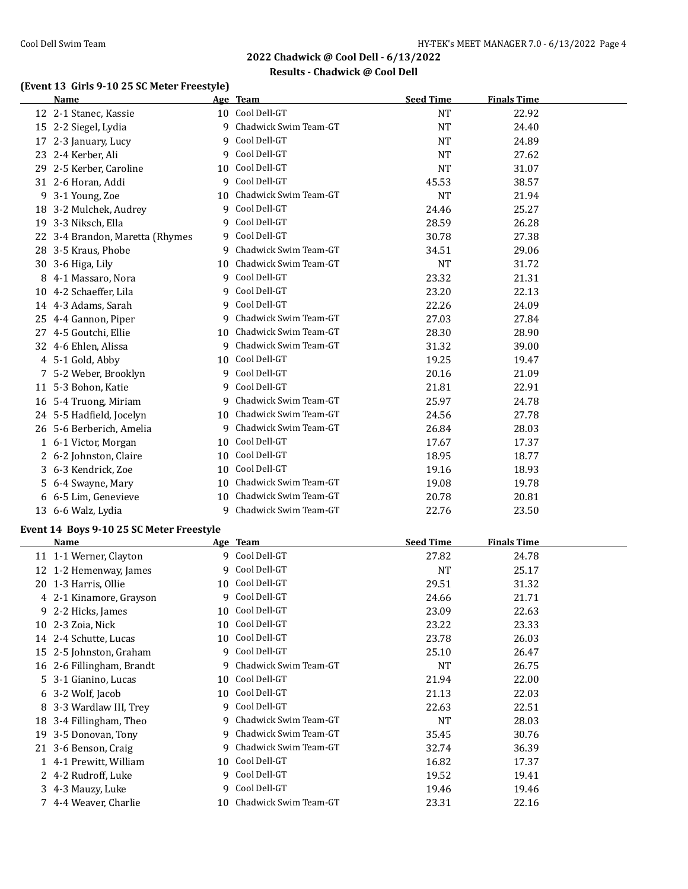#### **Results - Chadwick @ Cool Dell**

# **(Event 13 Girls 9-10 25 SC Meter Freestyle)**

|   | <b>Name</b>                              |    | Age Team                 | <b>Seed Time</b> | <b>Finals Time</b> |
|---|------------------------------------------|----|--------------------------|------------------|--------------------|
|   | 12 2-1 Stanec, Kassie                    |    | 10 Cool Dell-GT          | NT               | 22.92              |
|   | 15 2-2 Siegel, Lydia                     |    | 9 Chadwick Swim Team-GT  | <b>NT</b>        | 24.40              |
|   | 17 2-3 January, Lucy                     | 9  | Cool Dell-GT             | <b>NT</b>        | 24.89              |
|   | 23 2-4 Kerber, Ali                       | 9  | Cool Dell-GT             | <b>NT</b>        | 27.62              |
|   | 29 2-5 Kerber, Caroline                  | 10 | Cool Dell-GT             | <b>NT</b>        | 31.07              |
|   | 31 2-6 Horan, Addi                       | 9  | Cool Dell-GT             | 45.53            | 38.57              |
|   | 9 3-1 Young, Zoe                         | 10 | Chadwick Swim Team-GT    | <b>NT</b>        | 21.94              |
|   | 18 3-2 Mulchek, Audrey                   | 9  | Cool Dell-GT             | 24.46            | 25.27              |
|   | 19 3-3 Niksch, Ella                      | 9  | Cool Dell-GT             | 28.59            | 26.28              |
|   | 22 3-4 Brandon, Maretta (Rhymes          |    | 9 Cool Dell-GT           | 30.78            | 27.38              |
|   | 28 3-5 Kraus, Phobe                      | 9  | Chadwick Swim Team-GT    | 34.51            | 29.06              |
|   | 30 3-6 Higa, Lily                        |    | 10 Chadwick Swim Team-GT | <b>NT</b>        | 31.72              |
| 8 | 4-1 Massaro, Nora                        |    | 9 Cool Dell-GT           | 23.32            | 21.31              |
|   | 10 4-2 Schaeffer, Lila                   | 9  | Cool Dell-GT             | 23.20            | 22.13              |
|   | 14 4-3 Adams, Sarah                      | 9  | Cool Dell-GT             | 22.26            | 24.09              |
|   | 25 4-4 Gannon, Piper                     | 9  | Chadwick Swim Team-GT    | 27.03            | 27.84              |
|   | 27 4-5 Goutchi, Ellie                    | 10 | Chadwick Swim Team-GT    | 28.30            | 28.90              |
|   | 32 4-6 Ehlen, Alissa                     | 9  | Chadwick Swim Team-GT    | 31.32            | 39.00              |
|   | 4 5-1 Gold, Abby                         | 10 | Cool Dell-GT             | 19.25            | 19.47              |
|   | 7 5-2 Weber, Brooklyn                    | 9  | Cool Dell-GT             | 20.16            | 21.09              |
|   | 11 5-3 Bohon, Katie                      | 9  | Cool Dell-GT             | 21.81            | 22.91              |
|   | 16 5-4 Truong, Miriam                    | 9  | Chadwick Swim Team-GT    | 25.97            | 24.78              |
|   | 24 5-5 Hadfield, Jocelyn                 |    | 10 Chadwick Swim Team-GT | 24.56            | 27.78              |
|   | 26 5-6 Berberich, Amelia                 |    | 9 Chadwick Swim Team-GT  | 26.84            | 28.03              |
|   |                                          |    | 10 Cool Dell-GT          | 17.67            | 17.37              |
|   | 1 6-1 Victor, Morgan                     |    | 10 Cool Dell-GT          |                  |                    |
|   | 2 6-2 Johnston, Claire                   |    | 10 Cool Dell-GT          | 18.95            | 18.77              |
|   | 3 6-3 Kendrick, Zoe                      |    |                          | 19.16            | 18.93              |
|   | 5 6-4 Swayne, Mary                       |    | 10 Chadwick Swim Team-GT | 19.08            | 19.78              |
|   | 6 6-5 Lim, Genevieve                     |    | 10 Chadwick Swim Team-GT | 20.78            | 20.81              |
|   | 13 6-6 Walz, Lydia                       |    | 9 Chadwick Swim Team-GT  | 22.76            | 23.50              |
|   | Event 14 Boys 9-10 25 SC Meter Freestyle |    |                          |                  |                    |
|   | Name                                     |    | Age Team                 | <b>Seed Time</b> | <b>Finals Time</b> |
|   | 11 1-1 Werner, Clayton                   |    | 9 Cool Dell-GT           | 27.82            | 24.78              |
|   | 12 1-2 Hemenway, James                   | 9  | Cool Dell-GT             | NT               | 25.17              |
|   | 20 1-3 Harris, Ollie                     |    | 10 Cool Dell-GT          | 29.51            | 31.32              |
|   | 4 2-1 Kinamore, Grayson                  |    | 9 Cool Dell-GT           | 24.66            | 21.71              |
|   | 9 2-2 Hicks, James                       | 10 | Cool Dell-GT             | 23.09            | 22.63              |
|   | 10 2-3 Zoia, Nick                        | 10 | Cool Dell-GT             | 23.22            | 23.33              |
|   | 14 2-4 Schutte, Lucas                    | 10 | Cool Dell-GT             | 23.78            | 26.03              |
|   | 15 2-5 Johnston, Graham                  | 9. | Cool Dell-GT             | 25.10            | 26.47              |
|   | 16 2-6 Fillingham, Brandt                | 9  | Chadwick Swim Team-GT    | NT               | 26.75              |
|   | 5 3-1 Gianino, Lucas                     | 10 | Cool Dell-GT             | 21.94            | 22.00              |
|   | 6 3-2 Wolf, Jacob                        | 10 | Cool Dell-GT             | 21.13            | 22.03              |
|   | 8 3-3 Wardlaw III, Trey                  | 9. | Cool Dell-GT             | 22.63            | 22.51              |
|   | 18 3-4 Fillingham, Theo                  | 9  | Chadwick Swim Team-GT    | NT               | 28.03              |
|   | 19 3-5 Donovan, Tony                     | 9  | Chadwick Swim Team-GT    | 35.45            | 30.76              |
|   | 21 3-6 Benson, Craig                     | 9  | Chadwick Swim Team-GT    | 32.74            | 36.39              |
|   | 1 4-1 Prewitt, William                   | 10 | Cool Dell-GT             | 16.82            | 17.37              |
|   | 2 4-2 Rudroff, Luke                      | 9  | Cool Dell-GT             | 19.52            | 19.41              |
|   | 3 4-3 Mauzy, Luke                        | 9. | Cool Dell-GT             | 19.46            | 19.46              |
|   | 7 4-4 Weaver, Charlie                    |    | 10 Chadwick Swim Team-GT | 23.31            | 22.16              |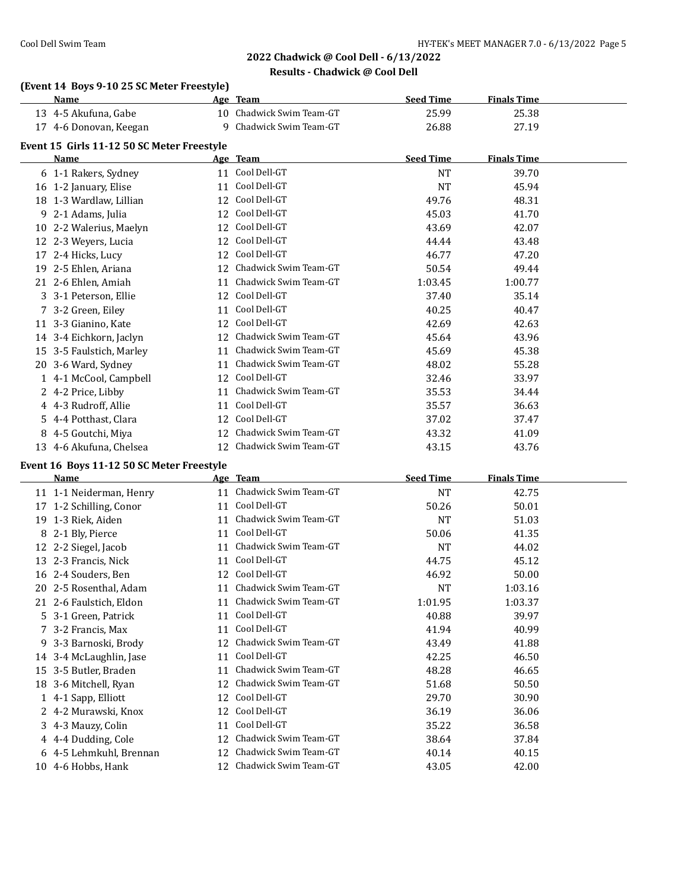# **2022 Chadwick @ Cool Dell - 6/13/2022 Results - Chadwick @ Cool Dell**

# **(Event 14 Boys 9-10 25 SC Meter Freestyle)**

| Name                                               |    | Age Team                                             | <b>Seed Time</b> | <b>Finals Time</b> |  |
|----------------------------------------------------|----|------------------------------------------------------|------------------|--------------------|--|
| 13 4-5 Akufuna, Gabe                               |    | 10 Chadwick Swim Team-GT                             | 25.99            | 25.38              |  |
| 17 4-6 Donovan, Keegan                             |    | 9 Chadwick Swim Team-GT                              | 26.88            | 27.19              |  |
|                                                    |    |                                                      |                  |                    |  |
| Event 15 Girls 11-12 50 SC Meter Freestyle<br>Name |    | Age Team                                             | <b>Seed Time</b> | <b>Finals Time</b> |  |
| 6 1-1 Rakers, Sydney                               |    | 11 Cool Dell-GT                                      | <b>NT</b>        | 39.70              |  |
| 16 1-2 January, Elise                              |    | 11 Cool Dell-GT                                      | <b>NT</b>        | 45.94              |  |
| 18 1-3 Wardlaw, Lillian                            |    | 12 Cool Dell-GT                                      | 49.76            | 48.31              |  |
| 9 2-1 Adams, Julia                                 |    | 12 Cool Dell-GT                                      | 45.03            | 41.70              |  |
| 10 2-2 Walerius, Maelyn                            |    | 12 Cool Dell-GT                                      | 43.69            | 42.07              |  |
| 12 2-3 Weyers, Lucia                               |    | 12 Cool Dell-GT                                      | 44.44            | 43.48              |  |
|                                                    |    | 12 Cool Dell-GT                                      | 46.77            | 47.20              |  |
| 17 2-4 Hicks, Lucy<br>19 2-5 Ehlen, Ariana         |    | 12 Chadwick Swim Team-GT                             | 50.54            | 49.44              |  |
|                                                    |    | 11 Chadwick Swim Team-GT                             |                  |                    |  |
| 21 2-6 Ehlen, Amiah                                |    | 12 Cool Dell-GT                                      | 1:03.45<br>37.40 | 1:00.77<br>35.14   |  |
| 3 3-1 Peterson, Ellie                              |    | 11 Cool Dell-GT                                      |                  |                    |  |
| 7 3-2 Green, Eiley                                 |    | 12 Cool Dell-GT                                      | 40.25            | 40.47              |  |
| 11 3-3 Gianino, Kate                               |    | 12 Chadwick Swim Team-GT                             | 42.69            | 42.63              |  |
| 14 3-4 Eichkorn, Jaclyn                            |    |                                                      | 45.64            | 43.96              |  |
| 15 3-5 Faulstich, Marley                           |    | 11 Chadwick Swim Team-GT<br>11 Chadwick Swim Team-GT | 45.69            | 45.38              |  |
| 20 3-6 Ward, Sydney                                |    |                                                      | 48.02            | 55.28              |  |
| 1 4-1 McCool, Campbell                             |    | 12 Cool Dell-GT                                      | 32.46            | 33.97              |  |
| 2 4-2 Price, Libby                                 |    | 11 Chadwick Swim Team-GT                             | 35.53            | 34.44              |  |
| 4 4-3 Rudroff, Allie                               |    | 11 Cool Dell-GT                                      | 35.57            | 36.63              |  |
| 5 4-4 Potthast, Clara                              |    | 12 Cool Dell-GT                                      | 37.02            | 37.47              |  |
| 8 4-5 Goutchi, Miya                                |    | 12 Chadwick Swim Team-GT                             | 43.32            | 41.09              |  |
| 13 4-6 Akufuna, Chelsea                            |    | 12 Chadwick Swim Team-GT                             | 43.15            | 43.76              |  |
| Event 16 Boys 11-12 50 SC Meter Freestyle          |    |                                                      |                  |                    |  |
| Name                                               |    | Age Team                                             | <b>Seed Time</b> | <b>Finals Time</b> |  |
| 11 1-1 Neiderman, Henry                            |    | 11 Chadwick Swim Team-GT                             | <b>NT</b>        | 42.75              |  |
| 17 1-2 Schilling, Conor                            |    | 11 Cool Dell-GT                                      | 50.26            | 50.01              |  |
| 19 1-3 Riek, Aiden                                 |    | 11 Chadwick Swim Team-GT                             | <b>NT</b>        | 51.03              |  |
| 8 2-1 Bly, Pierce                                  |    | 11 Cool Dell-GT                                      | 50.06            | 41.35              |  |
| 12 2-2 Siegel, Jacob                               |    | 11 Chadwick Swim Team-GT                             | <b>NT</b>        | 44.02              |  |
| 13 2-3 Francis, Nick                               |    | 11 Cool Dell-GT                                      | 44.75            | 45.12              |  |
| 16 2-4 Souders, Ben                                |    | 12 Cool Dell-GT                                      | 46.92            | 50.00              |  |
| 20 2-5 Rosenthal, Adam                             |    | 11 Chadwick Swim Team-GT                             | <b>NT</b>        | 1:03.16            |  |
| 21 2-6 Faulstich, Eldon                            |    | 11 Chadwick Swim Team-GT                             | 1:01.95          | 1:03.37            |  |
| 5 3-1 Green, Patrick                               | 11 | Cool Dell-GT                                         | 40.88            | 39.97              |  |
| 7 3-2 Francis, Max                                 | 11 | Cool Dell-GT                                         | 41.94            | 40.99              |  |
| 9 3-3 Barnoski, Brody                              | 12 | Chadwick Swim Team-GT                                | 43.49            | 41.88              |  |
| 14 3-4 McLaughlin, Jase                            | 11 | Cool Dell-GT                                         | 42.25            | 46.50              |  |
| 15 3-5 Butler, Braden                              | 11 | Chadwick Swim Team-GT                                | 48.28            | 46.65              |  |
| 18 3-6 Mitchell, Ryan                              |    | 12 Chadwick Swim Team-GT                             | 51.68            | 50.50              |  |
| 1 4-1 Sapp, Elliott                                |    | 12 Cool Dell-GT                                      | 29.70            | 30.90              |  |
| 2 4-2 Murawski, Knox                               |    | 12 Cool Dell-GT                                      | 36.19            | 36.06              |  |
| 3 4-3 Mauzy, Colin                                 | 11 | Cool Dell-GT                                         | 35.22            | 36.58              |  |
| 4 4-4 Dudding, Cole                                | 12 | Chadwick Swim Team-GT                                | 38.64            | 37.84              |  |
| 6 4-5 Lehmkuhl, Brennan                            |    | 12 Chadwick Swim Team-GT                             | 40.14            | 40.15              |  |
| 10 4-6 Hobbs, Hank                                 |    | 12 Chadwick Swim Team-GT                             | 43.05            | 42.00              |  |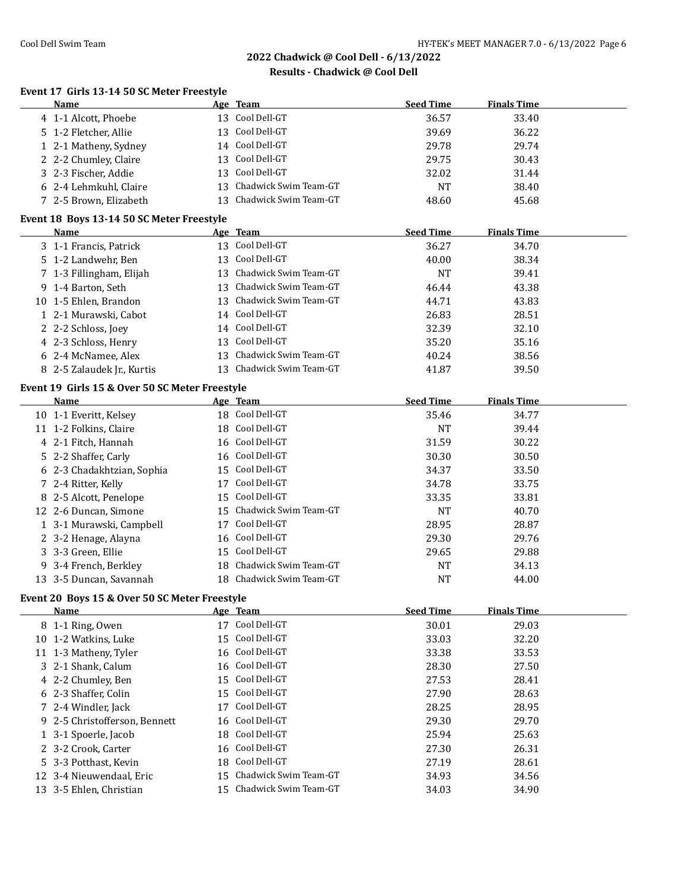**Event 17 Girls 13-14 50 SC Meter Freestyle**

# **2022 Chadwick @ Cool Dell - 6/13/2022**

#### **Results - Chadwick @ Cool Dell**

|              | Name                                           |    | Age Team                 | <b>Seed Time</b> | <b>Finals Time</b> |  |
|--------------|------------------------------------------------|----|--------------------------|------------------|--------------------|--|
|              | 4 1-1 Alcott, Phoebe                           |    | 13 Cool Dell-GT          | 36.57            | 33.40              |  |
|              | 5 1-2 Fletcher, Allie                          |    | 13 Cool Dell-GT          | 39.69            | 36.22              |  |
|              | 1 2-1 Matheny, Sydney                          |    | 14 Cool Dell-GT          | 29.78            | 29.74              |  |
|              | 2 2-2 Chumley, Claire                          | 13 | Cool Dell-GT             | 29.75            | 30.43              |  |
|              | 3 2-3 Fischer, Addie                           | 13 | Cool Dell-GT             | 32.02            | 31.44              |  |
|              | 6 2-4 Lehmkuhl, Claire                         | 13 | Chadwick Swim Team-GT    | <b>NT</b>        | 38.40              |  |
|              | 7 2-5 Brown, Elizabeth                         |    | 13 Chadwick Swim Team-GT | 48.60            | 45.68              |  |
|              |                                                |    |                          |                  |                    |  |
|              | Event 18 Boys 13-14 50 SC Meter Freestyle      |    |                          |                  |                    |  |
|              | Name                                           |    | Age Team                 | <b>Seed Time</b> | <b>Finals Time</b> |  |
|              | 3 1-1 Francis, Patrick                         |    | 13 Cool Dell-GT          | 36.27            | 34.70              |  |
|              | 5 1-2 Landwehr, Ben                            |    | 13 Cool Dell-GT          | 40.00            | 38.34              |  |
|              | 7 1-3 Fillingham, Elijah                       |    | 13 Chadwick Swim Team-GT | <b>NT</b>        | 39.41              |  |
|              | 9 1-4 Barton, Seth                             |    | 13 Chadwick Swim Team-GT | 46.44            | 43.38              |  |
|              | 10 1-5 Ehlen, Brandon                          |    | 13 Chadwick Swim Team-GT | 44.71            | 43.83              |  |
|              | 1 2-1 Murawski, Cabot                          |    | 14 Cool Dell-GT          | 26.83            | 28.51              |  |
|              | 2 2-2 Schloss, Joey                            |    | 14 Cool Dell-GT          | 32.39            | 32.10              |  |
|              | 4 2-3 Schloss, Henry                           |    | 13 Cool Dell-GT          | 35.20            | 35.16              |  |
|              | 6 2-4 McNamee, Alex                            |    | 13 Chadwick Swim Team-GT | 40.24            | 38.56              |  |
|              | 8 2-5 Zalaudek Jr., Kurtis                     |    | 13 Chadwick Swim Team-GT | 41.87            | 39.50              |  |
|              | Event 19 Girls 15 & Over 50 SC Meter Freestyle |    |                          |                  |                    |  |
|              | <b>Name</b>                                    |    | Age Team                 | <b>Seed Time</b> | <b>Finals Time</b> |  |
|              | 10 1-1 Everitt, Kelsey                         |    | 18 Cool Dell-GT          | 35.46            | 34.77              |  |
|              | 11 1-2 Folkins, Claire                         |    | 18 Cool Dell-GT          | <b>NT</b>        | 39.44              |  |
|              | 4 2-1 Fitch, Hannah                            |    | 16 Cool Dell-GT          | 31.59            | 30.22              |  |
|              |                                                |    | Cool Dell-GT             |                  |                    |  |
|              | 5 2-2 Shaffer, Carly                           | 16 | Cool Dell-GT             | 30.30            | 30.50              |  |
|              | 6 2-3 Chadakhtzian, Sophia                     | 15 | 17 Cool Dell-GT          | 34.37            | 33.50              |  |
|              | 7 2-4 Ritter, Kelly                            |    |                          | 34.78            | 33.75              |  |
|              | 8 2-5 Alcott, Penelope                         |    | 15 Cool Dell-GT          | 33.35            | 33.81              |  |
|              | 12 2-6 Duncan, Simone                          | 15 | Chadwick Swim Team-GT    | <b>NT</b>        | 40.70              |  |
|              | 1 3-1 Murawski, Campbell                       |    | 17 Cool Dell-GT          | 28.95            | 28.87              |  |
|              | 2 3-2 Henage, Alayna                           | 16 | Cool Dell-GT             | 29.30            | 29.76              |  |
|              | 3 3-3 Green, Ellie                             | 15 | Cool Dell-GT             | 29.65            | 29.88              |  |
|              | 9 3-4 French, Berkley                          | 18 | Chadwick Swim Team-GT    | <b>NT</b>        | 34.13              |  |
|              | 13 3-5 Duncan, Savannah                        |    | 18 Chadwick Swim Team-GT | <b>NT</b>        | 44.00              |  |
|              | Event 20 Boys 15 & Over 50 SC Meter Freestyle  |    |                          |                  |                    |  |
|              | <b>Name</b>                                    |    | Age Team                 | <b>Seed Time</b> | <b>Finals Time</b> |  |
|              | 8 1-1 Ring, Owen                               |    | 17 Cool Dell-GT          | 30.01            | 29.03              |  |
|              | 10 1-2 Watkins, Luke                           | 15 | Cool Dell-GT             | 33.03            | 32.20              |  |
| 11           | 1-3 Matheny, Tyler                             | 16 | Cool Dell-GT             | 33.38            | 33.53              |  |
| 3            | 2-1 Shank, Calum                               | 16 | Cool Dell-GT             | 28.30            | 27.50              |  |
| 4            | 2-2 Chumley, Ben                               | 15 | Cool Dell-GT             | 27.53            | 28.41              |  |
| 6            | 2-3 Shaffer, Colin                             | 15 | Cool Dell-GT             | 27.90            | 28.63              |  |
| 7            | 2-4 Windler, Jack                              | 17 | Cool Dell-GT             | 28.25            | 28.95              |  |
|              |                                                |    | Cool Dell-GT             | 29.30            | 29.70              |  |
| 9            | 2-5 Christofferson, Bennett                    | 16 | Cool Dell-GT             |                  |                    |  |
| $\mathbf{1}$ | 3-1 Spoerle, Jacob                             | 18 | Cool Dell-GT             | 25.94            | 25.63              |  |
| 2            | 3-2 Crook, Carter                              | 16 |                          | 27.30            | 26.31              |  |
| 5.           | 3-3 Potthast, Kevin                            | 18 | Cool Dell-GT             | 27.19            | 28.61              |  |
|              | 12 3-4 Nieuwendaal, Eric                       | 15 | Chadwick Swim Team-GT    | 34.93            | 34.56              |  |

3-5 Ehlen, Christian 15 Chadwick Swim Team-GT 34.03 34.90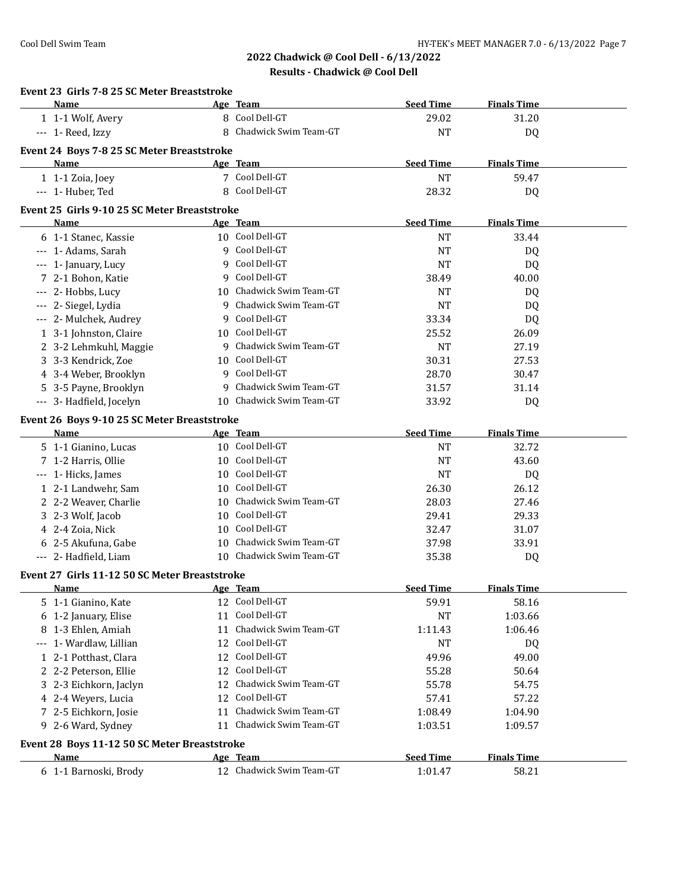# **2022 Chadwick @ Cool Dell - 6/13/2022 Results - Chadwick @ Cool Dell**

| Event 23 Girls 7-8 25 SC Meter Breaststroke<br>Name |    | Age Team                    | <b>Seed Time</b>       | <b>Finals Time</b> |  |
|-----------------------------------------------------|----|-----------------------------|------------------------|--------------------|--|
| 1 1-1 Wolf, Avery                                   |    | 8 Cool Dell-GT              | 29.02                  | 31.20              |  |
| --- 1- Reed, Izzy                                   |    | 8 Chadwick Swim Team-GT     | <b>NT</b>              | DQ                 |  |
|                                                     |    |                             |                        |                    |  |
| Event 24 Boys 7-8 25 SC Meter Breaststroke          |    |                             |                        |                    |  |
| <b>Name</b>                                         |    | Age Team                    | <b>Seed Time</b>       | <b>Finals Time</b> |  |
| 1 1-1 Zoia, Joey                                    |    | 7 Cool Dell-GT              | <b>NT</b>              | 59.47              |  |
| --- 1- Huber, Ted                                   |    | 8 Cool Dell-GT              | 28.32                  | DQ                 |  |
| Event 25 Girls 9-10 25 SC Meter Breaststroke        |    |                             |                        |                    |  |
| Name                                                |    | Age Team                    | <b>Seed Time</b>       | <b>Finals Time</b> |  |
| 6 1-1 Stanec, Kassie                                |    | 10 Cool Dell-GT             | <b>NT</b>              | 33.44              |  |
| --- 1- Adams, Sarah                                 | 9  | Cool Dell-GT                | <b>NT</b>              | DQ                 |  |
| --- 1- January, Lucy                                | 9  | Cool Dell-GT                | <b>NT</b>              | DQ                 |  |
| 7 2-1 Bohon, Katie                                  | 9  | Cool Dell-GT                | 38.49                  | 40.00              |  |
| --- 2- Hobbs, Lucy                                  |    | 10 Chadwick Swim Team-GT    | NT                     | DQ                 |  |
| --- 2- Siegel, Lydia                                |    | 9 Chadwick Swim Team-GT     | <b>NT</b>              | DQ                 |  |
| --- 2- Mulchek, Audrey                              |    | 9 Cool Dell-GT              | 33.34                  | DQ                 |  |
| 1 3-1 Johnston, Claire                              |    | 10 Cool Dell-GT             | 25.52                  | 26.09              |  |
| 2 3-2 Lehmkuhl, Maggie                              |    | 9 Chadwick Swim Team-GT     | <b>NT</b>              | 27.19              |  |
| 3 3-3 Kendrick, Zoe                                 |    | 10 Cool Dell-GT             | 30.31                  | 27.53              |  |
| 4 3-4 Weber, Brooklyn                               |    | 9 Cool Dell-GT              | 28.70                  | 30.47              |  |
| 5 3-5 Payne, Brooklyn                               | 9  | Chadwick Swim Team-GT       | 31.57                  | 31.14              |  |
| --- 3- Hadfield, Jocelyn                            |    | 10 Chadwick Swim Team-GT    | 33.92                  | DQ                 |  |
|                                                     |    |                             |                        |                    |  |
| Event 26 Boys 9-10 25 SC Meter Breaststroke         |    |                             |                        |                    |  |
| <b>Name</b>                                         |    | Age Team<br>10 Cool Dell-GT | <b>Seed Time</b>       | <b>Finals Time</b> |  |
| 5 1-1 Gianino, Lucas                                |    | 10 Cool Dell-GT             | <b>NT</b><br><b>NT</b> | 32.72              |  |
| 7 1-2 Harris, Ollie                                 |    | 10 Cool Dell-GT             | <b>NT</b>              | 43.60              |  |
| --- 1- Hicks, James                                 |    | 10 Cool Dell-GT             |                        | DQ<br>26.12        |  |
| 1 2-1 Landwehr, Sam                                 |    | 10 Chadwick Swim Team-GT    | 26.30                  | 27.46              |  |
| 2 2-2 Weaver, Charlie                               |    | 10 Cool Dell-GT             | 28.03                  |                    |  |
| 3 2-3 Wolf, Jacob                                   |    | 10 Cool Dell-GT             | 29.41                  | 29.33              |  |
| 4 2-4 Zoia, Nick                                    |    | 10 Chadwick Swim Team-GT    | 32.47                  | 31.07              |  |
| 6 2-5 Akufuna, Gabe                                 |    |                             | 37.98                  | 33.91              |  |
| --- 2- Hadfield, Liam                               |    | 10 Chadwick Swim Team-GT    | 35.38                  | DQ                 |  |
| Event 27 Girls 11-12 50 SC Meter Breaststroke       |    |                             |                        |                    |  |
| <u>Name</u>                                         |    | Age Team                    | <b>Seed Time</b>       | <b>Finals Time</b> |  |
| 5 1-1 Gianino, Kate                                 |    | 12 Cool Dell-GT             | 59.91                  | 58.16              |  |
| 6 1-2 January, Elise                                |    | 11 Cool Dell-GT             | <b>NT</b>              | 1:03.66            |  |
| 8 1-3 Ehlen, Amiah                                  | 11 | Chadwick Swim Team-GT       | 1:11.43                | 1:06.46            |  |
| 1- Wardlaw, Lillian<br>$\cdots$                     | 12 | Cool Dell-GT                | <b>NT</b>              | DQ                 |  |
| 1 2-1 Potthast, Clara                               | 12 | Cool Dell-GT                | 49.96                  | 49.00              |  |
| 2 2-2 Peterson, Ellie                               | 12 | Cool Dell-GT                | 55.28                  | 50.64              |  |
| 3 2-3 Eichkorn, Jaclyn                              | 12 | Chadwick Swim Team-GT       | 55.78                  | 54.75              |  |
| 4 2-4 Weyers, Lucia                                 | 12 | Cool Dell-GT                | 57.41                  | 57.22              |  |
| 7 2-5 Eichkorn, Josie                               | 11 | Chadwick Swim Team-GT       | 1:08.49                | 1:04.90            |  |
| 9 2-6 Ward, Sydney                                  | 11 | Chadwick Swim Team-GT       | 1:03.51                | 1:09.57            |  |
| Event 28 Boys 11-12 50 SC Meter Breaststroke        |    |                             |                        |                    |  |
| <b>Name</b>                                         |    | <u>Age Team</u>             | <b>Seed Time</b>       | <b>Finals Time</b> |  |
| 6 1-1 Barnoski, Brody                               |    | 12 Chadwick Swim Team-GT    | 1:01.47                | 58.21              |  |
|                                                     |    |                             |                        |                    |  |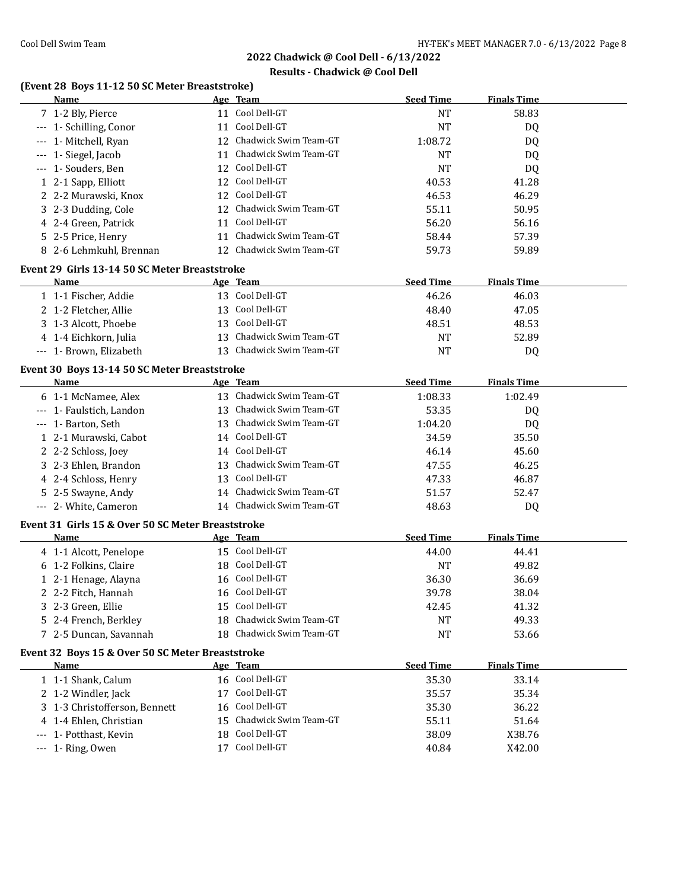# **Results - Chadwick @ Cool Dell**

# **(Event 28 Boys 11-12 50 SC Meter Breaststroke)**

| Name                                                        |    | Age Team                 | <b>Seed Time</b> | <b>Finals Time</b> |  |
|-------------------------------------------------------------|----|--------------------------|------------------|--------------------|--|
| 7 1-2 Bly, Pierce                                           |    | 11 Cool Dell-GT          | <b>NT</b>        | 58.83              |  |
| --- 1- Schilling, Conor                                     |    | 11 Cool Dell-GT          | <b>NT</b>        | DQ                 |  |
| --- 1- Mitchell, Ryan                                       |    | 12 Chadwick Swim Team-GT | 1:08.72          | DQ                 |  |
| --- 1- Siegel, Jacob                                        |    | 11 Chadwick Swim Team-GT | <b>NT</b>        | DQ                 |  |
| --- 1- Souders, Ben                                         |    | 12 Cool Dell-GT          | <b>NT</b>        | DQ                 |  |
| 1 2-1 Sapp, Elliott                                         |    | 12 Cool Dell-GT          | 40.53            | 41.28              |  |
| 2 2-2 Murawski, Knox                                        |    | 12 Cool Dell-GT          | 46.53            | 46.29              |  |
| 3 2-3 Dudding, Cole                                         |    | 12 Chadwick Swim Team-GT | 55.11            | 50.95              |  |
| 4 2-4 Green, Patrick                                        | 11 | Cool Dell-GT             | 56.20            | 56.16              |  |
| 5 2-5 Price, Henry                                          |    | 11 Chadwick Swim Team-GT | 58.44            | 57.39              |  |
| 8 2-6 Lehmkuhl, Brennan                                     |    | 12 Chadwick Swim Team-GT | 59.73            | 59.89              |  |
| Event 29 Girls 13-14 50 SC Meter Breaststroke               |    |                          |                  |                    |  |
| Name                                                        |    | Age Team                 | <b>Seed Time</b> | <b>Finals Time</b> |  |
| 1 1-1 Fischer, Addie                                        |    | 13 Cool Dell-GT          | 46.26            | 46.03              |  |
| 2 1-2 Fletcher, Allie                                       |    | 13 Cool Dell-GT          | 48.40            | 47.05              |  |
| 3 1-3 Alcott, Phoebe                                        |    | 13 Cool Dell-GT          | 48.51            | 48.53              |  |
| 4 1-4 Eichkorn, Julia                                       |    | 13 Chadwick Swim Team-GT | <b>NT</b>        | 52.89              |  |
| --- 1- Brown, Elizabeth                                     |    | 13 Chadwick Swim Team-GT | <b>NT</b>        | DQ                 |  |
|                                                             |    |                          |                  |                    |  |
| Event 30 Boys 13-14 50 SC Meter Breaststroke<br><b>Name</b> |    | Age Team                 | <b>Seed Time</b> | <b>Finals Time</b> |  |
| 6 1-1 McNamee, Alex                                         |    | 13 Chadwick Swim Team-GT | 1:08.33          | 1:02.49            |  |
| --- 1- Faulstich, Landon                                    |    | 13 Chadwick Swim Team-GT | 53.35            |                    |  |
| --- 1- Barton, Seth                                         |    | 13 Chadwick Swim Team-GT | 1:04.20          | DQ<br>DQ           |  |
| 1 2-1 Murawski, Cabot                                       |    | 14 Cool Dell-GT          | 34.59            | 35.50              |  |
| 2 2-2 Schloss, Joey                                         |    | 14 Cool Dell-GT          | 46.14            | 45.60              |  |
| 3 2-3 Ehlen, Brandon                                        |    | 13 Chadwick Swim Team-GT | 47.55            | 46.25              |  |
| 4 2-4 Schloss, Henry                                        |    | 13 Cool Dell-GT          | 47.33            | 46.87              |  |
| 5 2-5 Swayne, Andy                                          |    | 14 Chadwick Swim Team-GT | 51.57            | 52.47              |  |
| --- 2- White, Cameron                                       |    | 14 Chadwick Swim Team-GT | 48.63            | DQ                 |  |
|                                                             |    |                          |                  |                    |  |
| Event 31 Girls 15 & Over 50 SC Meter Breaststroke           |    |                          |                  |                    |  |
| Name                                                        |    | Age Team                 | <b>Seed Time</b> | <b>Finals Time</b> |  |
| 4 1-1 Alcott, Penelope                                      |    | 15 Cool Dell-GT          | 44.00            | 44.41              |  |
| 6 1-2 Folkins, Claire                                       |    | 18 Cool Dell-GT          | <b>NT</b>        | 49.82              |  |
| 1 2-1 Henage, Alayna                                        |    | 16 Cool Dell-GT          | 36.30            | 36.69              |  |
| 2 2-2 Fitch, Hannah                                         |    | 16 Cool Dell-GT          | 39.78            | 38.04              |  |
| 3 2-3 Green, Ellie                                          |    | 15 Cool Dell-GT          | 42.45            | 41.32              |  |
| 5 2-4 French, Berkley                                       | 18 | Chadwick Swim Team-GT    | <b>NT</b>        | 49.33              |  |
| 7 2-5 Duncan, Savannah                                      |    | 18 Chadwick Swim Team-GT | <b>NT</b>        | 53.66              |  |
| Event 32 Boys 15 & Over 50 SC Meter Breaststroke            |    |                          |                  |                    |  |
| <b>Name</b>                                                 |    | Age Team                 | <b>Seed Time</b> | <b>Finals Time</b> |  |
| 1 1-1 Shank, Calum                                          |    | 16 Cool Dell-GT          | 35.30            | 33.14              |  |
| 2 1-2 Windler, Jack                                         |    | 17 Cool Dell-GT          | 35.57            | 35.34              |  |
| 3 1-3 Christofferson, Bennett                               | 16 | Cool Dell-GT             | 35.30            | 36.22              |  |
| 4 1-4 Ehlen, Christian                                      |    | 15 Chadwick Swim Team-GT | 55.11            | 51.64              |  |
| --- 1- Potthast, Kevin                                      |    | 18 Cool Dell-GT          | 38.09            | X38.76             |  |
| --- 1- Ring, Owen                                           |    | 17 Cool Dell-GT          | 40.84            | X42.00             |  |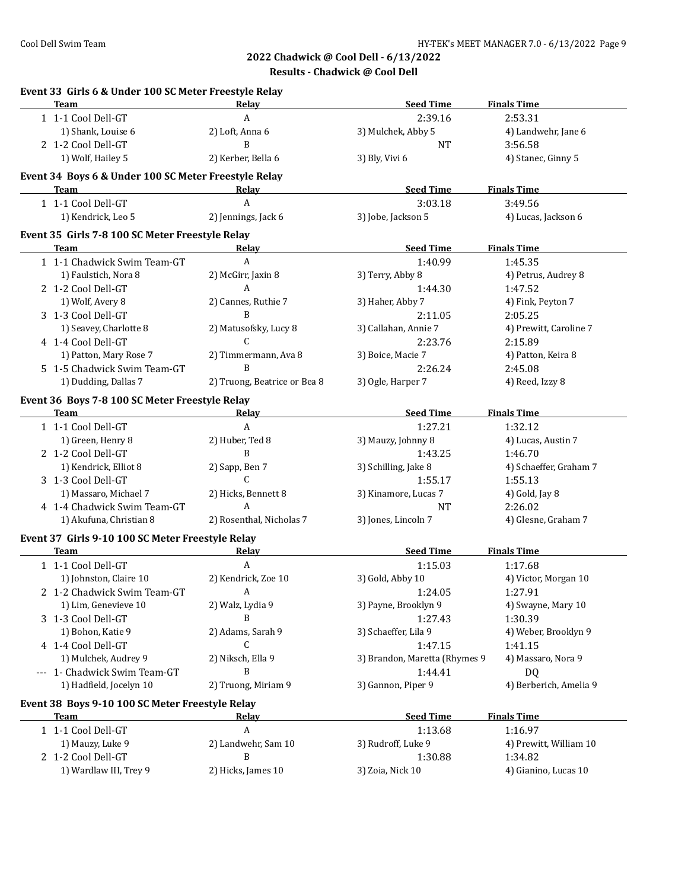| <b>Team</b>                                          | Relav                        | <b>Seed Time</b>              | <b>Finals Time</b>     |
|------------------------------------------------------|------------------------------|-------------------------------|------------------------|
| 1 1-1 Cool Dell-GT                                   | A                            | 2:39.16                       | 2:53.31                |
| 1) Shank, Louise 6                                   | 2) Loft, Anna 6              | 3) Mulchek, Abby 5            | 4) Landwehr, Jane 6    |
| 2 1-2 Cool Dell-GT                                   | B                            | <b>NT</b>                     | 3:56.58                |
| 1) Wolf, Hailey 5                                    | 2) Kerber, Bella 6           | 3) Bly, Vivi 6                | 4) Stanec, Ginny 5     |
| Event 34 Boys 6 & Under 100 SC Meter Freestyle Relay |                              |                               |                        |
| Team                                                 | Relay                        | <b>Seed Time</b>              | <b>Finals Time</b>     |
| 1 1-1 Cool Dell-GT                                   | A                            | 3:03.18                       | 3:49.56                |
| 1) Kendrick, Leo 5                                   | 2) Jennings, Jack 6          | 3) Jobe, Jackson 5            | 4) Lucas, Jackson 6    |
| Event 35 Girls 7-8 100 SC Meter Freestyle Relay      | Relay                        | <b>Seed Time</b>              | <b>Finals Time</b>     |
| Team                                                 | $\boldsymbol{A}$             |                               |                        |
| 1 1-1 Chadwick Swim Team-GT                          |                              | 1:40.99                       | 1:45.35                |
| 1) Faulstich, Nora 8                                 | 2) McGirr, Jaxin 8           | 3) Terry, Abby 8              | 4) Petrus, Audrey 8    |
| 2 1-2 Cool Dell-GT                                   | A                            | 1:44.30                       | 1:47.52                |
| 1) Wolf, Avery 8                                     | 2) Cannes, Ruthie 7          | 3) Haher, Abby 7              | 4) Fink, Peyton 7      |
| 3 1-3 Cool Dell-GT                                   | B                            | 2:11.05                       | 2:05.25                |
| 1) Seavey, Charlotte 8                               | 2) Matusofsky, Lucy 8        | 3) Callahan, Annie 7          | 4) Prewitt, Caroline 7 |
| 4 1-4 Cool Dell-GT                                   | C                            | 2:23.76                       | 2:15.89                |
| 1) Patton, Mary Rose 7                               | 2) Timmermann, Ava 8         | 3) Boice, Macie 7             | 4) Patton, Keira 8     |
| 5 1-5 Chadwick Swim Team-GT                          | B                            | 2:26.24                       | 2:45.08                |
| 1) Dudding, Dallas 7                                 | 2) Truong, Beatrice or Bea 8 | 3) Ogle, Harper 7             | 4) Reed, Izzy 8        |
| Event 36 Boys 7-8 100 SC Meter Freestyle Relay       |                              |                               |                        |
| <b>Team</b>                                          | Relay                        | <b>Seed Time</b>              | <b>Finals Time</b>     |
| 1 1-1 Cool Dell-GT                                   | A                            | 1:27.21                       | 1:32.12                |
| 1) Green, Henry 8                                    | 2) Huber, Ted 8              | 3) Mauzy, Johnny 8            | 4) Lucas, Austin 7     |
| 2 1-2 Cool Dell-GT                                   | B                            | 1:43.25                       | 1:46.70                |
| 1) Kendrick, Elliot 8                                | 2) Sapp, Ben 7               | 3) Schilling, Jake 8          | 4) Schaeffer, Graham 7 |
| 3 1-3 Cool Dell-GT                                   | C                            | 1:55.17                       | 1:55.13                |
| 1) Massaro, Michael 7                                | 2) Hicks, Bennett 8          | 3) Kinamore, Lucas 7          | 4) Gold, Jay 8         |
| 4 1-4 Chadwick Swim Team-GT                          | A                            | <b>NT</b>                     | 2:26.02                |
| 1) Akufuna, Christian 8                              | 2) Rosenthal, Nicholas 7     | 3) Jones, Lincoln 7           | 4) Glesne, Graham 7    |
| Event 37 Girls 9-10 100 SC Meter Freestyle Relay     |                              |                               |                        |
| Team                                                 | Relay                        | <b>Seed Time</b>              | <b>Finals Time</b>     |
| 1 1-1 Cool Dell-GT                                   | A                            | 1:15.03                       | 1:17.68                |
| 1) Johnston, Claire 10                               | 2) Kendrick, Zoe 10          | 3) Gold, Abby 10              | 4) Victor, Morgan 10   |
| 2 1-2 Chadwick Swim Team-GT                          | A                            | 1:24.05                       | 1:27.91                |
| 1) Lim, Genevieve 10                                 | 2) Walz, Lydia 9             | 3) Payne, Brooklyn 9          | 4) Swayne, Mary 10     |
| 3 1-3 Cool Dell-GT                                   | B                            | 1:27.43                       | 1:30.39                |
| 1) Bohon, Katie 9                                    | 2) Adams, Sarah 9            | 3) Schaeffer, Lila 9          | 4) Weber, Brooklyn 9   |
| 4 1-4 Cool Dell-GT                                   | C                            | 1:47.15                       | 1:41.15                |
| 1) Mulchek, Audrey 9                                 | 2) Niksch, Ella 9            | 3) Brandon, Maretta (Rhymes 9 | 4) Massaro, Nora 9     |
| --- 1- Chadwick Swim Team-GT                         | B                            | 1:44.41                       | DQ                     |
| 1) Hadfield, Jocelyn 10                              | 2) Truong, Miriam 9          | 3) Gannon, Piper 9            | 4) Berberich, Amelia 9 |
| Event 38 Boys 9-10 100 SC Meter Freestyle Relay      |                              |                               |                        |
| Team                                                 | Relay                        | <b>Seed Time</b>              | <b>Finals Time</b>     |
| 1 1-1 Cool Dell-GT                                   | A                            | 1:13.68                       | 1:16.97                |
| 1) Mauzy, Luke 9                                     | 2) Landwehr, Sam 10          | 3) Rudroff, Luke 9            | 4) Prewitt, William 10 |
| 2 1-2 Cool Dell-GT                                   | B                            | 1:30.88                       | 1:34.82                |
|                                                      |                              |                               |                        |
| 1) Wardlaw III, Trey 9                               | 2) Hicks, James 10           | 3) Zoia, Nick 10              | 4) Gianino, Lucas 10   |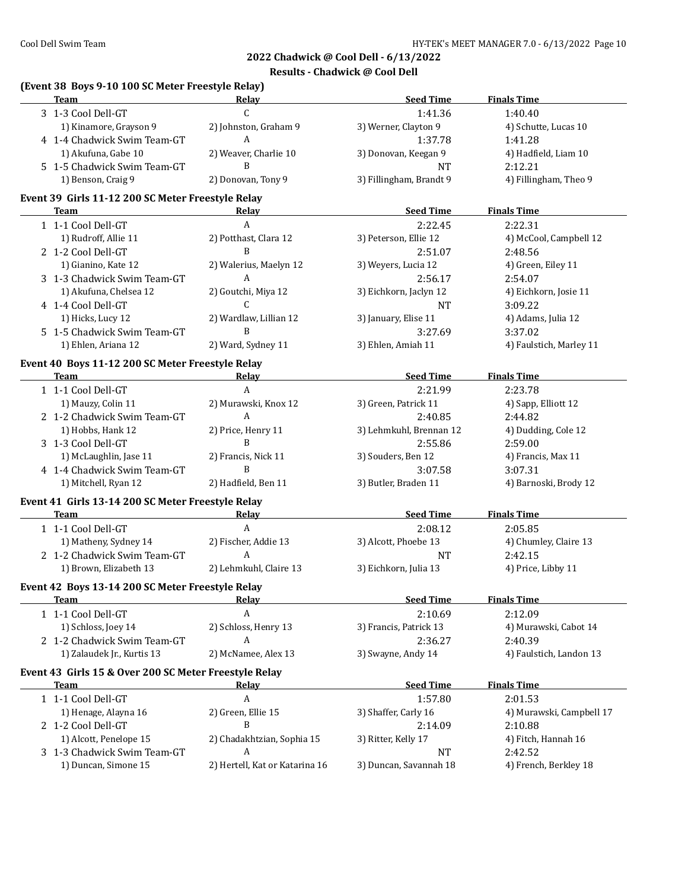1) 1) Schutte, Lucas 10 2) Werner, Clayton 9 2012 4) Schutte, Lucas 10

1) Akufuna, Keegan 9 2012 10 3) Hadfield, Liam 10

1) Billingham, Brandt 9 2012 9 2013 1914 9 3) Fillingham, Theo 9

**2022 Chadwick @ Cool Dell - 6/13/2022**

**Team Relay Relay Seed Time Finals Time** 

#### **Results - Chadwick @ Cool Dell**

| 3 1-3 Cool Dell-GT          |                       | 1:41.36                 | 1:40.40   |
|-----------------------------|-----------------------|-------------------------|-----------|
| 1) Kinamore, Grayson 9      | 2) Johnston, Graham 9 | 3) Werner, Clayton 9    | 4) Schut  |
| 4 1-4 Chadwick Swim Team-GT |                       | 1:37.78                 | 1:41.28   |
| 1) Akufuna, Gabe 10         | 2) Weaver, Charlie 10 | 3) Donovan, Keegan 9    | 4) Hadfi  |
| 5 1-5 Chadwick Swim Team-GT |                       | NT                      | 2:12.21   |
| 1) Benson, Craig 9          | 2) Donovan, Tony 9    | 3) Fillingham, Brandt 9 | 4) Fillin |

# **Event 39 Girls 11-12 200 SC Meter Freestyle Relay**

**(Event 38 Boys 9-10 100 SC Meter Freestyle Relay)**

| <b>Team</b>                                                                                                                                                                                                                         | Relav                  | <b>Seed Time</b>        | <b>Finals Time</b>       |
|-------------------------------------------------------------------------------------------------------------------------------------------------------------------------------------------------------------------------------------|------------------------|-------------------------|--------------------------|
| 1 1-1 Cool Dell-GT                                                                                                                                                                                                                  | $\mathsf{A}$           | 2:22.45                 | 2:22.31                  |
| 1) Rudroff, Allie 11                                                                                                                                                                                                                | 2) Potthast, Clara 12  | 3) Peterson, Ellie 12   | 4) McCool, Campbell 12   |
| 2 1-2 Cool Dell-GT                                                                                                                                                                                                                  | B                      | 2:51.07                 | 2:48.56                  |
| 1) Gianino, Kate 12                                                                                                                                                                                                                 | 2) Walerius, Maelyn 12 | 3) Weyers, Lucia 12     | 4) Green, Eiley 11       |
| 3 1-3 Chadwick Swim Team-GT                                                                                                                                                                                                         | A                      | 2:56.17                 | 2:54.07                  |
| 1) Akufuna, Chelsea 12                                                                                                                                                                                                              | 2) Goutchi, Miya 12    | 3) Eichkorn, Jaclyn 12  | 4) Eichkorn, Josie 11    |
| 4 1-4 Cool Dell-GT                                                                                                                                                                                                                  | $\mathcal{C}$          | NT                      | 3:09.22                  |
| 1) Hicks, Lucy 12                                                                                                                                                                                                                   | 2) Wardlaw, Lillian 12 | 3) January, Elise 11    | 4) Adams, Julia 12       |
| 5 1-5 Chadwick Swim Team-GT                                                                                                                                                                                                         | B                      | 3:27.69                 | 3:37.02                  |
| 1) Ehlen, Ariana 12                                                                                                                                                                                                                 | 2) Ward, Sydney 11     | 3) Ehlen, Amiah 11      | 4) Faulstich, Marley 11  |
| Event 40 Boys 11-12 200 SC Meter Freestyle Relay                                                                                                                                                                                    |                        |                         |                          |
| Team                                                                                                                                                                                                                                | Relav                  | <b>Seed Time</b>        | <b>Finals Time</b>       |
| 1 1-1 Cool Dell-GT                                                                                                                                                                                                                  | $\mathbf{A}$           | 2:21.99                 | 2:23.78                  |
| 1) Mauzy, Colin 11                                                                                                                                                                                                                  | 2) Murawski, Knox 12   | 3) Green, Patrick 11    | 4) Sapp, Elliott 12      |
| 2 1-2 Chadwick Swim Team-GT                                                                                                                                                                                                         | A                      | 2:40.85                 | 2:44.82                  |
| 1) Hobbs, Hank 12                                                                                                                                                                                                                   | 2) Price, Henry 11     | 3) Lehmkuhl, Brennan 12 | 4) Dudding, Cole 12      |
| 3 1-3 Cool Dell-GT                                                                                                                                                                                                                  | B                      | 2:55.86                 | 2:59.00                  |
| 1) McLaughlin, Jase 11                                                                                                                                                                                                              | 2) Francis, Nick 11    | 3) Souders, Ben 12      | 4) Francis, Max 11       |
| 4 1-4 Chadwick Swim Team-GT                                                                                                                                                                                                         | B                      | 3:07.58                 | 3:07.31                  |
| 1) Mitchell, Ryan 12                                                                                                                                                                                                                | 2) Hadfield, Ben 11    | 3) Butler, Braden 11    | 4) Barnoski, Brody 12    |
| Event 41 Girls 13-14 200 SC Meter Freestyle Relay                                                                                                                                                                                   |                        |                         |                          |
| <b>Team</b>                                                                                                                                                                                                                         | Relav                  | <b>Seed Time</b>        | <b>Finals Time</b>       |
| 1 1-1 Cool Dell-GT                                                                                                                                                                                                                  | A                      | 2:08.12                 | 2:05.85                  |
| 1) Matheny, Sydney 14                                                                                                                                                                                                               | 2) Fischer, Addie 13   | 3) Alcott, Phoebe 13    | 4) Chumley, Claire 13    |
| 2 1-2 Chadwick Swim Team-GT                                                                                                                                                                                                         | A                      | <b>NT</b>               | 2:42.15                  |
| 1) Brown, Elizabeth 13                                                                                                                                                                                                              | 2) Lehmkuhl, Claire 13 | 3) Eichkorn, Julia 13   | 4) Price, Libby 11       |
| Event 42 Boys 13-14 200 SC Meter Freestyle Relay                                                                                                                                                                                    |                        |                         |                          |
| <b>Team</b> and the state of the state of the state of the state of the state of the state of the state of the state of the state of the state of the state of the state of the state of the state of the state of the state of the | <b>Relav</b>           | <b>Seed Time</b>        | <b>Finals Time</b>       |
| 1 1-1 Cool Dell-GT                                                                                                                                                                                                                  | $\boldsymbol{A}$       | 2:10.69                 | 2:12.09                  |
| 1) Schloss, Joey 14                                                                                                                                                                                                                 | 2) Schloss, Henry 13   | 3) Francis, Patrick 13  | 4) Murawski, Cabot 14    |
| 2 1-2 Chadwick Swim Team-GT                                                                                                                                                                                                         | A                      | 2:36.27                 | 2:40.39                  |
| 1) Zalaudek Jr., Kurtis 13                                                                                                                                                                                                          | 2) McNamee, Alex 13    | 3) Swayne, Andy 14      | 4) Faulstich, Landon 13  |
| Event 43 Girls 15 & Over 200 SC Meter Freestyle Relay                                                                                                                                                                               |                        |                         |                          |
| <b>Team</b>                                                                                                                                                                                                                         | Relay                  | <b>Seed Time</b>        | <b>Finals Time</b>       |
| 1 1-1 Cool Dell-GT                                                                                                                                                                                                                  | A                      | 1:57.80                 | 2:01.53                  |
| 1) Henage, Alayna 16                                                                                                                                                                                                                | 2) Green, Ellie 15     | 3) Shaffer, Carly 16    | 4) Murawski, Campbell 17 |
| 2 1-2 Cool Dell-GT                                                                                                                                                                                                                  | B                      | 2:14.09                 | 2:10.88                  |

1) Alcott, Penelope 15 2) Chadakhtzian, Sophia 15 3) Ritter, Kelly 17 4) Fitch, Hannah 16

1) Duncan, Simone 15 2) Hertell, Kat or Katarina 16 3) Duncan, Savannah 18 4) French, Berkley 18

3 1-3 Chadwick Swim Team-GT A NT 2:42.52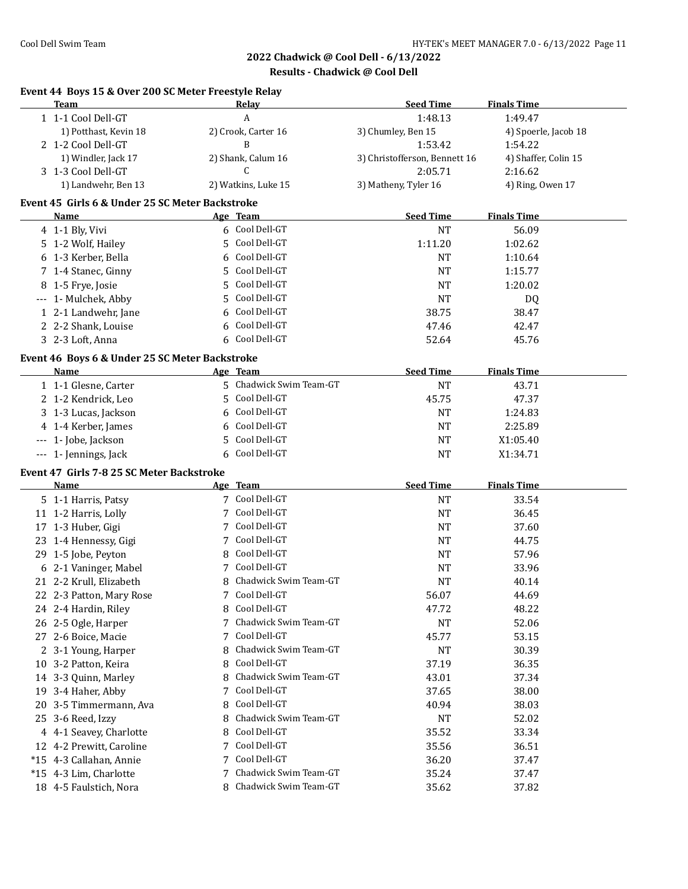$\overline{a}$ 

# **2022 Chadwick @ Cool Dell - 6/13/2022**

**Results - Chadwick @ Cool Dell**

# **Event 44 Boys 15 & Over 200 SC Meter Freestyle Relay**

| Team                  | Relay               | <b>Seed Time</b>              | <b>Finals Time</b>   |
|-----------------------|---------------------|-------------------------------|----------------------|
| 1 1-1 Cool Dell-GT    |                     | 1:48.13                       | 1:49.47              |
| 1) Potthast, Kevin 18 | 2) Crook, Carter 16 | 3) Chumley, Ben 15            | 4) Spoerle, Jacob 18 |
| 2 1-2 Cool Dell-GT    |                     | 1:53.42                       | 1:54.22              |
| 1) Windler, Jack 17   | 2) Shank, Calum 16  | 3) Christofferson, Bennett 16 | 4) Shaffer, Colin 15 |
| 3 1-3 Cool Dell-GT    |                     | 2:05.71                       | 2:16.62              |
| 1) Landwehr, Ben 13   | 2) Watkins, Luke 15 | 3) Matheny, Tyler 16          | 4) Ring, Owen 17     |

## **Event 45 Girls 6 & Under 25 SC Meter Backstroke**

| Name                 | Age Team       | <b>Seed Time</b> | <b>Finals Time</b> |  |
|----------------------|----------------|------------------|--------------------|--|
| 4 1-1 Bly, Vivi      | 6 Cool Dell-GT | NT               | 56.09              |  |
| 5 1-2 Wolf, Hailey   | 5 Cool Dell-GT | 1:11.20          | 1:02.62            |  |
| 6 1-3 Kerber, Bella  | 6 Cool Dell-GT | <b>NT</b>        | 1:10.64            |  |
| 7 1-4 Stanec, Ginny  | 5 Cool Dell-GT | <b>NT</b>        | 1:15.77            |  |
| 8 1-5 Frye, Josie    | 5 Cool Dell-GT | <b>NT</b>        | 1:20.02            |  |
| --- 1- Mulchek, Abby | 5 Cool Dell-GT | NT               | DQ                 |  |
| 1 2-1 Landwehr, Jane | 6 Cool Dell-GT | 38.75            | 38.47              |  |
| 2 2-2 Shank, Louise  | 6 Cool Dell-GT | 47.46            | 42.47              |  |
| 3 2-3 Loft, Anna     | 6 Cool Dell-GT | 52.64            | 45.76              |  |

# **Event 46 Boys 6 & Under 25 SC Meter Backstroke**

| Name                  | <u>Age Team</u>         | <b>Seed Time</b> | <b>Finals Time</b> |
|-----------------------|-------------------------|------------------|--------------------|
| 1 1-1 Glesne, Carter  | 5 Chadwick Swim Team-GT | NT               | 43.71              |
| 2 1-2 Kendrick, Leo   | 5 Cool Dell-GT          | 45.75            | 47.37              |
| 3 1-3 Lucas, Jackson  | 6 Cool Dell-GT          | NT               | 1:24.83            |
| 4 1-4 Kerber, James   | 6 Cool Dell-GT          | <b>NT</b>        | 2:25.89            |
| $-$ 1- Jobe, Jackson  | 5 Cool Dell-GT          | <b>NT</b>        | X1:05.40           |
| --- 1- Jennings, Jack | 6 Cool Dell-GT          | NT               | X1:34.71           |

#### **Event 47 Girls 7-8 25 SC Meter Backstroke**

|    | Name                     |   | Age Team              | <b>Seed Time</b> | <b>Finals Time</b> |
|----|--------------------------|---|-----------------------|------------------|--------------------|
|    | 5 1-1 Harris, Patsy      |   | Cool Dell-GT          | <b>NT</b>        | 33.54              |
|    | 11 1-2 Harris, Lolly     |   | Cool Dell-GT          | NT               | 36.45              |
|    | 17 1-3 Huber, Gigi       |   | Cool Dell-GT          | <b>NT</b>        | 37.60              |
|    | 23 1-4 Hennessy, Gigi    |   | Cool Dell-GT          | NT               | 44.75              |
|    | 29 1-5 Jobe, Peyton      | 8 | Cool Dell-GT          | <b>NT</b>        | 57.96              |
|    | 6 2-1 Vaninger, Mabel    | 7 | Cool Dell-GT          | <b>NT</b>        | 33.96              |
|    | 21 2-2 Krull, Elizabeth  |   | Chadwick Swim Team-GT | <b>NT</b>        | 40.14              |
|    | 22 2-3 Patton, Mary Rose |   | Cool Dell-GT          | 56.07            | 44.69              |
|    | 24 2-4 Hardin, Riley     | 8 | Cool Dell-GT          | 47.72            | 48.22              |
|    | 26 2-5 Ogle, Harper      |   | Chadwick Swim Team-GT | <b>NT</b>        | 52.06              |
|    | 27 2-6 Boice, Macie      |   | Cool Dell-GT          | 45.77            | 53.15              |
|    | 2 3-1 Young, Harper      |   | Chadwick Swim Team-GT | NT               | 30.39              |
|    | 10 3-2 Patton, Keira     | 8 | Cool Dell-GT          | 37.19            | 36.35              |
|    | 14 3-3 Quinn, Marley     |   | Chadwick Swim Team-GT | 43.01            | 37.34              |
| 19 | 3-4 Haher, Abby          |   | Cool Dell-GT          | 37.65            | 38.00              |
|    | 20 3-5 Timmermann, Ava   | 8 | Cool Dell-GT          | 40.94            | 38.03              |
|    | 25 3-6 Reed, Izzy        |   | Chadwick Swim Team-GT | <b>NT</b>        | 52.02              |
|    | 4 4-1 Seavey, Charlotte  | 8 | Cool Dell-GT          | 35.52            | 33.34              |
|    | 12 4-2 Prewitt, Caroline |   | Cool Dell-GT          | 35.56            | 36.51              |
|    | *15 4-3 Callahan, Annie  |   | Cool Dell-GT          | 36.20            | 37.47              |
|    | *15 4-3 Lim, Charlotte   |   | Chadwick Swim Team-GT | 35.24            | 37.47              |
|    | 18 4-5 Faulstich, Nora   | 8 | Chadwick Swim Team-GT | 35.62            | 37.82              |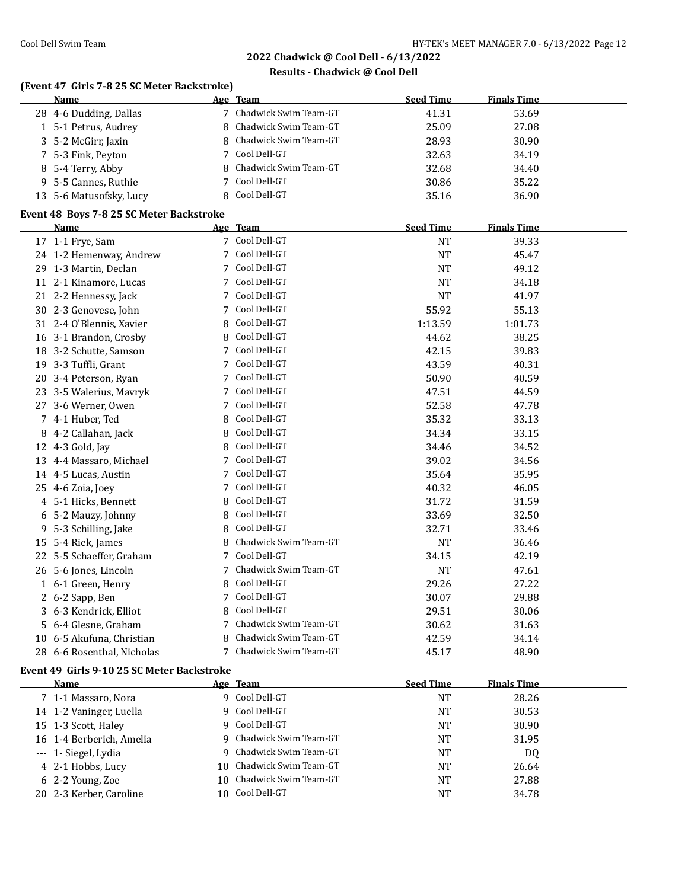#### **Results - Chadwick @ Cool Dell**

# **(Event 47 Girls 7-8 25 SC Meter Backstroke)**

| Name                    | Age Team                | <b>Seed Time</b> | <b>Finals Time</b> |
|-------------------------|-------------------------|------------------|--------------------|
| 28 4-6 Dudding, Dallas  | 7 Chadwick Swim Team-GT | 41.31            | 53.69              |
| 1 5-1 Petrus, Audrey    | 8 Chadwick Swim Team-GT | 25.09            | 27.08              |
| 3 5-2 McGirr, Jaxin     | 8 Chadwick Swim Team-GT | 28.93            | 30.90              |
| 7 5-3 Fink, Peyton      | 7 Cool Dell-GT          | 32.63            | 34.19              |
| 8 5-4 Terry, Abby       | 8 Chadwick Swim Team-GT | 32.68            | 34.40              |
| 9 5-5 Cannes, Ruthie    | 7 Cool Dell-GT          | 30.86            | 35.22              |
| 13 5-6 Matusofsky, Lucy | 8 Cool Dell-GT          | 35.16            | 36.90              |

#### **Event 48 Boys 7-8 25 SC Meter Backstroke**

|    | <b>Name</b>              |   | Age Team              | <b>Seed Time</b> | <b>Finals Time</b> |  |
|----|--------------------------|---|-----------------------|------------------|--------------------|--|
|    | 17 1-1 Frye, Sam         |   | Cool Dell-GT          | <b>NT</b>        | 39.33              |  |
|    | 24 1-2 Hemenway, Andrew  | 7 | Cool Dell-GT          | <b>NT</b>        | 45.47              |  |
| 29 | 1-3 Martin, Declan       | 7 | Cool Dell-GT          | <b>NT</b>        | 49.12              |  |
|    | 11 2-1 Kinamore, Lucas   | 7 | Cool Dell-GT          | <b>NT</b>        | 34.18              |  |
|    | 21 2-2 Hennessy, Jack    | 7 | Cool Dell-GT          | <b>NT</b>        | 41.97              |  |
|    | 30 2-3 Genovese, John    | 7 | Cool Dell-GT          | 55.92            | 55.13              |  |
|    | 31 2-4 O'Blennis, Xavier | 8 | Cool Dell-GT          | 1:13.59          | 1:01.73            |  |
|    | 16 3-1 Brandon, Crosby   | 8 | Cool Dell-GT          | 44.62            | 38.25              |  |
|    | 18 3-2 Schutte, Samson   | 7 | Cool Dell-GT          | 42.15            | 39.83              |  |
| 19 | 3-3 Tuffli, Grant        | 7 | Cool Dell-GT          | 43.59            | 40.31              |  |
| 20 | 3-4 Peterson, Ryan       | 7 | Cool Dell-GT          | 50.90            | 40.59              |  |
|    | 23 3-5 Walerius, Mavryk  | 7 | Cool Dell-GT          | 47.51            | 44.59              |  |
| 27 | 3-6 Werner, Owen         | 7 | Cool Dell-GT          | 52.58            | 47.78              |  |
| 7  | 4-1 Huber, Ted           | 8 | Cool Dell-GT          | 35.32            | 33.13              |  |
| 8  | 4-2 Callahan, Jack       | 8 | Cool Dell-GT          | 34.34            | 33.15              |  |
| 12 | 4-3 Gold, Jay            | 8 | Cool Dell-GT          | 34.46            | 34.52              |  |
| 13 | 4-4 Massaro, Michael     | 7 | Cool Dell-GT          | 39.02            | 34.56              |  |
|    | 14 4-5 Lucas, Austin     | 7 | Cool Dell-GT          | 35.64            | 35.95              |  |
| 25 | 4-6 Zoia, Joey           | 7 | Cool Dell-GT          | 40.32            | 46.05              |  |
| 4  | 5-1 Hicks, Bennett       | 8 | Cool Dell-GT          | 31.72            | 31.59              |  |
| 6  | 5-2 Mauzy, Johnny        | 8 | Cool Dell-GT          | 33.69            | 32.50              |  |
| 9  | 5-3 Schilling, Jake      | 8 | Cool Dell-GT          | 32.71            | 33.46              |  |
| 15 | 5-4 Riek, James          | 8 | Chadwick Swim Team-GT | <b>NT</b>        | 36.46              |  |
| 22 | 5-5 Schaeffer, Graham    | 7 | Cool Dell-GT          | 34.15            | 42.19              |  |
| 26 | 5-6 Jones, Lincoln       | 7 | Chadwick Swim Team-GT | <b>NT</b>        | 47.61              |  |
| 1  | 6-1 Green, Henry         | 8 | Cool Dell-GT          | 29.26            | 27.22              |  |
| 2  | 6-2 Sapp, Ben            | 7 | Cool Dell-GT          | 30.07            | 29.88              |  |
| 3  | 6-3 Kendrick, Elliot     | 8 | Cool Dell-GT          | 29.51            | 30.06              |  |
|    | 6-4 Glesne, Graham       |   | Chadwick Swim Team-GT | 30.62            | 31.63              |  |
| 10 | 6-5 Akufuna, Christian   | 8 | Chadwick Swim Team-GT | 42.59            | 34.14              |  |
| 28 | 6-6 Rosenthal, Nicholas  | 7 | Chadwick Swim Team-GT | 45.17            | 48.90              |  |

## **Event 49 Girls 9-10 25 SC Meter Backstroke**

| <b>Name</b>              | Age Team                 | <b>Seed Time</b> | <b>Finals Time</b> |
|--------------------------|--------------------------|------------------|--------------------|
| 7 1-1 Massaro, Nora      | 9 Cool Dell-GT           | NT               | 28.26              |
| 14 1-2 Vaninger, Luella  | 9 Cool Dell-GT           | <b>NT</b>        | 30.53              |
| 15 1-3 Scott, Haley      | 9 Cool Dell-GT           | <b>NT</b>        | 30.90              |
| 16 1-4 Berberich, Amelia | 9 Chadwick Swim Team-GT  | <b>NT</b>        | 31.95              |
| --- 1- Siegel, Lydia     | 9 Chadwick Swim Team-GT  | <b>NT</b>        | D <sub>0</sub>     |
| 4 2-1 Hobbs, Lucy        | 10 Chadwick Swim Team-GT | NT               | 26.64              |
| 6 2-2 Young, Zoe         | 10 Chadwick Swim Team-GT | NT               | 27.88              |
| 20 2-3 Kerber, Caroline  | 10 Cool Dell-GT          | NT               | 34.78              |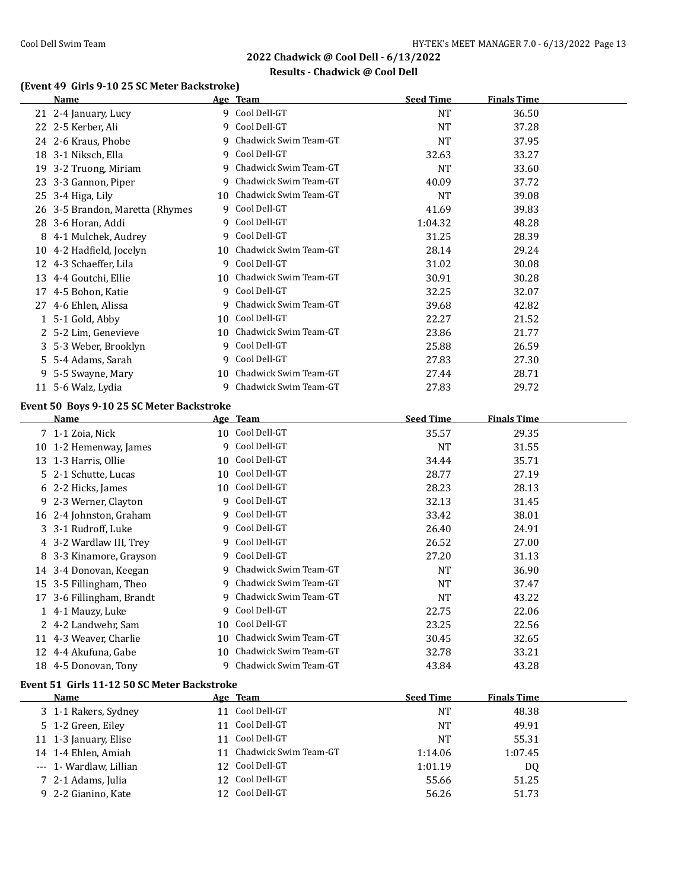# **Results - Chadwick @ Cool Dell**

# **(Event 49 Girls 9-10 25 SC Meter Backstroke)**

| Name                                           |    | Age Team                    | <b>Seed Time</b>   | <b>Finals Time</b> |  |
|------------------------------------------------|----|-----------------------------|--------------------|--------------------|--|
| 21 2-4 January, Lucy                           |    | 9 Cool Dell-GT              | <b>NT</b>          | 36.50              |  |
| 22 2-5 Kerber, Ali                             |    | 9 Cool Dell-GT              | <b>NT</b>          | 37.28              |  |
| 24 2-6 Kraus, Phobe                            | 9  | Chadwick Swim Team-GT       | <b>NT</b>          | 37.95              |  |
| 18 3-1 Niksch, Ella                            |    | 9 Cool Dell-GT              | 32.63              | 33.27              |  |
| 19 3-2 Truong, Miriam                          |    | 9 Chadwick Swim Team-GT     | <b>NT</b>          | 33.60              |  |
| 23 3-3 Gannon, Piper                           | 9  | Chadwick Swim Team-GT       | 40.09              | 37.72              |  |
| 25 3-4 Higa, Lily                              | 10 | Chadwick Swim Team-GT       | <b>NT</b>          | 39.08              |  |
| 26 3-5 Brandon, Maretta (Rhymes                |    | 9 Cool Dell-GT              | 41.69              | 39.83              |  |
| 28 3-6 Horan, Addi                             | 9  | Cool Dell-GT                | 1:04.32            | 48.28              |  |
| 8 4-1 Mulchek, Audrey                          | 9  | Cool Dell-GT                | 31.25              | 28.39              |  |
| 10 4-2 Hadfield, Jocelyn                       |    | 10 Chadwick Swim Team-GT    | 28.14              | 29.24              |  |
| 12 4-3 Schaeffer, Lila                         |    | 9 Cool Dell-GT              | 31.02              | 30.08              |  |
| 13 4-4 Goutchi, Ellie                          |    | 10 Chadwick Swim Team-GT    | 30.91              | 30.28              |  |
| 17 4-5 Bohon, Katie                            |    | 9 Cool Dell-GT              | 32.25              | 32.07              |  |
| 27 4-6 Ehlen, Alissa                           | 9  | Chadwick Swim Team-GT       | 39.68              | 42.82              |  |
| 1 5-1 Gold, Abby                               |    | 10 Cool Dell-GT             | 22.27              | 21.52              |  |
| 2 5-2 Lim, Genevieve                           |    | 10 Chadwick Swim Team-GT    | 23.86              | 21.77              |  |
| 3 5-3 Weber, Brooklyn                          |    | 9 Cool Dell-GT              | 25.88              | 26.59              |  |
| 5 5-4 Adams, Sarah                             |    | 9 Cool Dell-GT              | 27.83              | 27.30              |  |
| 9 5-5 Swayne, Mary                             |    | 10 Chadwick Swim Team-GT    | 27.44              | 28.71              |  |
| 11 5-6 Walz, Lydia                             |    | 9 Chadwick Swim Team-GT     | 27.83              | 29.72              |  |
|                                                |    |                             |                    |                    |  |
| Event 50 Boys 9-10 25 SC Meter Backstroke      |    |                             |                    |                    |  |
| Name                                           |    | Age Team<br>10 Cool Dell-GT | <b>Seed Time</b>   | <b>Finals Time</b> |  |
| 7 1-1 Zoia, Nick                               |    | 9 Cool Dell-GT              | 35.57<br><b>NT</b> | 29.35              |  |
| 10 1-2 Hemenway, James<br>13 1-3 Harris, Ollie |    | Cool Dell-GT                | 34.44              | 31.55<br>35.71     |  |
| 5 2-1 Schutte, Lucas                           | 10 | 10 Cool Dell-GT             | 28.77              | 27.19              |  |
|                                                |    | 10 Cool Dell-GT             |                    |                    |  |
| 6 2-2 Hicks, James                             |    | 9 Cool Dell-GT              | 28.23              | 28.13              |  |
| 9 2-3 Werner, Clayton                          |    | 9 Cool Dell-GT              | 32.13              | 31.45              |  |
| 16 2-4 Johnston, Graham                        |    | Cool Dell-GT                | 33.42              | 38.01              |  |
| 3 3-1 Rudroff, Luke                            | 9  | Cool Dell-GT                | 26.40              | 24.91              |  |
| 4 3-2 Wardlaw III, Trey                        | 9  |                             | 26.52              | 27.00              |  |
| 8 3-3 Kinamore, Grayson                        |    | 9 Cool Dell-GT              | 27.20              | 31.13              |  |
| 14 3-4 Donovan, Keegan                         |    | 9 Chadwick Swim Team-GT     | NT                 | 36.90              |  |
| 15 3-5 Fillingham, Theo                        |    | 9 Chadwick Swim Team-GT     | <b>NT</b>          | 37.47              |  |
| 17 3-6 Fillingham, Brandt                      |    | 9 Chadwick Swim Team-GT     | $\rm{NT}$          | 43.22              |  |
| 1 4-1 Mauzy, Luke                              |    | 9 Cool Dell-GT              | 22.75              | 22.06              |  |
| 2 4-2 Landwehr, Sam                            |    | 10 Cool Dell-GT             | 23.25              | 22.56              |  |
| 11 4-3 Weaver, Charlie                         | 10 | Chadwick Swim Team-GT       | 30.45              | 32.65              |  |
| 12 4-4 Akufuna, Gabe                           |    | 10 Chadwick Swim Team-GT    | 32.78              | 33.21              |  |
| 18 4-5 Donovan, Tony                           | 9  | Chadwick Swim Team-GT       | 43.84              | 43.28              |  |
| Event 51 Girls 11-12 50 SC Meter Backstroke    |    |                             |                    |                    |  |
| Name                                           |    | Age Team                    | <b>Seed Time</b>   | <b>Finals Time</b> |  |
| 3 1-1 Rakers, Sydney                           |    | 11 Cool Dell-GT             | <b>NT</b>          | 48.38              |  |
| 5 1-2 Green, Eiley                             |    | 11 Cool Dell-GT             | <b>NT</b>          | 49.91              |  |
| 11 1-3 January, Elise                          |    | 11 Cool Dell-GT             | <b>NT</b>          | 55.31              |  |
| 14 1-4 Ehlen, Amiah                            |    | 11 Chadwick Swim Team-GT    | 1:14.06            | 1:07.45            |  |
| --- 1- Wardlaw, Lillian                        |    | 12 Cool Dell-GT             | 1:01.19            | DQ                 |  |
| 7 2-1 Adams, Julia                             |    | 12 Cool Dell-GT             | 55.66              | 51.25              |  |
| 9 2-2 Gianino, Kate                            |    | 12 Cool Dell-GT             | 56.26              | 51.73              |  |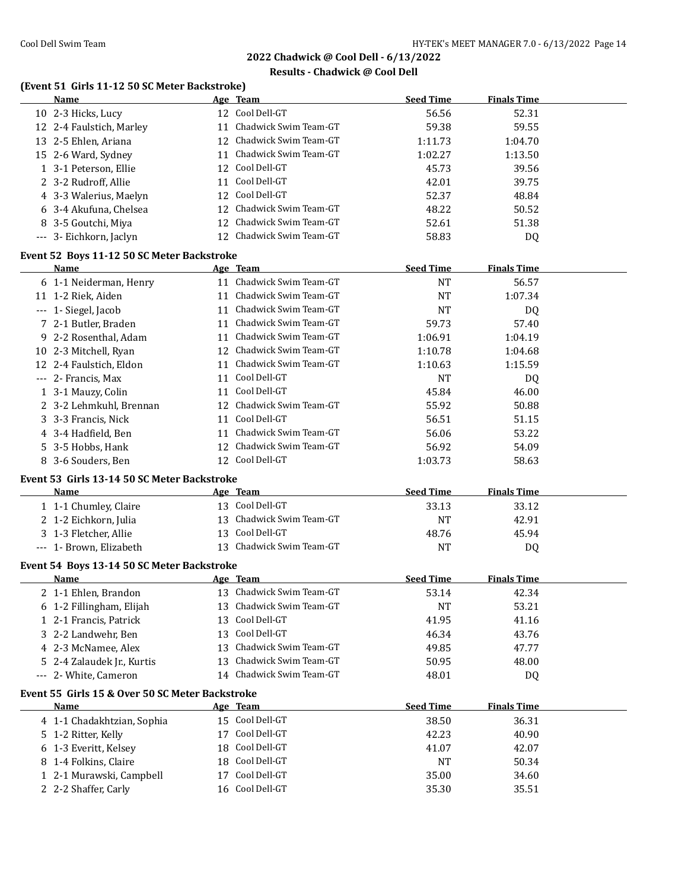# **Results - Chadwick @ Cool Dell**

# **(Event 51 Girls 11-12 50 SC Meter Backstroke)**

| Name                                             |    | Age Team                        | <b>Seed Time</b> | <b>Finals Time</b> |  |
|--------------------------------------------------|----|---------------------------------|------------------|--------------------|--|
| 10 2-3 Hicks, Lucy                               |    | 12 Cool Dell-GT                 | 56.56            | 52.31              |  |
| 12 2-4 Faulstich, Marley                         |    | 11 Chadwick Swim Team-GT        | 59.38            | 59.55              |  |
| 13 2-5 Ehlen, Ariana                             |    | 12 Chadwick Swim Team-GT        | 1:11.73          | 1:04.70            |  |
| 15 2-6 Ward, Sydney                              |    | 11 Chadwick Swim Team-GT        | 1:02.27          | 1:13.50            |  |
| 1 3-1 Peterson, Ellie                            |    | 12 Cool Dell-GT                 | 45.73            | 39.56              |  |
| 2 3-2 Rudroff, Allie                             |    | 11 Cool Dell-GT                 | 42.01            | 39.75              |  |
| 4 3-3 Walerius, Maelyn                           |    | 12 Cool Dell-GT                 | 52.37            | 48.84              |  |
| 6 3-4 Akufuna, Chelsea                           |    | 12 Chadwick Swim Team-GT        | 48.22            | 50.52              |  |
| 8 3-5 Goutchi, Miya                              | 12 | Chadwick Swim Team-GT           | 52.61            | 51.38              |  |
| --- 3- Eichkorn, Jaclyn                          |    | 12 Chadwick Swim Team-GT        | 58.83            | DQ                 |  |
|                                                  |    |                                 |                  |                    |  |
| Event 52 Boys 11-12 50 SC Meter Backstroke       |    |                                 |                  |                    |  |
| Name                                             |    | Age Team                        | <b>Seed Time</b> | <b>Finals Time</b> |  |
| 6 1-1 Neiderman, Henry                           |    | 11 Chadwick Swim Team-GT        | <b>NT</b>        | 56.57              |  |
| 11 1-2 Riek, Aiden                               |    | 11 Chadwick Swim Team-GT        | <b>NT</b>        | 1:07.34            |  |
| --- 1- Siegel, Jacob                             |    | 11 Chadwick Swim Team-GT        | <b>NT</b>        | DQ                 |  |
| 7 2-1 Butler, Braden                             |    | 11 Chadwick Swim Team-GT        | 59.73            | 57.40              |  |
| 9 2-2 Rosenthal, Adam                            |    | 11 Chadwick Swim Team-GT        | 1:06.91          | 1:04.19            |  |
| 10 2-3 Mitchell, Ryan                            |    | 12 Chadwick Swim Team-GT        | 1:10.78          | 1:04.68            |  |
| 12 2-4 Faulstich, Eldon                          |    | 11 Chadwick Swim Team-GT        | 1:10.63          | 1:15.59            |  |
| --- 2- Francis, Max                              |    | 11 Cool Dell-GT                 | <b>NT</b>        | DQ                 |  |
| 1 3-1 Mauzy, Colin                               |    | 11 Cool Dell-GT                 | 45.84            | 46.00              |  |
| 2 3-2 Lehmkuhl, Brennan                          |    | 12 Chadwick Swim Team-GT        | 55.92            | 50.88              |  |
| 3 3-3 Francis, Nick                              |    | 11 Cool Dell-GT                 | 56.51            | 51.15              |  |
| 4 3-4 Hadfield, Ben                              | 11 | Chadwick Swim Team-GT           | 56.06            | 53.22              |  |
| 5 3-5 Hobbs, Hank                                |    | 12 Chadwick Swim Team-GT        | 56.92            | 54.09              |  |
| 8 3-6 Souders, Ben                               | 12 | Cool Dell-GT                    | 1:03.73          | 58.63              |  |
| Event 53 Girls 13-14 50 SC Meter Backstroke      |    |                                 |                  |                    |  |
| Name                                             |    | Age Team                        | <b>Seed Time</b> | <b>Finals Time</b> |  |
| 1 1-1 Chumley, Claire                            |    | 13 Cool Dell-GT                 | 33.13            | 33.12              |  |
| 2 1-2 Eichkorn, Julia                            |    | 13 Chadwick Swim Team-GT        | <b>NT</b>        | 42.91              |  |
| 3 1-3 Fletcher, Allie                            |    | 13 Cool Dell-GT                 | 48.76            | 45.94              |  |
| --- 1- Brown, Elizabeth                          |    | 13 Chadwick Swim Team-GT        | <b>NT</b>        | DQ                 |  |
|                                                  |    |                                 |                  |                    |  |
| Event 54 Boys 13-14 50 SC Meter Backstroke       |    |                                 |                  |                    |  |
|                                                  |    |                                 |                  |                    |  |
| Name                                             |    | Age Team                        | <b>Seed Time</b> | <b>Finals Time</b> |  |
| 2 1-1 Ehlen, Brandon                             |    | 13 Chadwick Swim Team-GT        | 53.14            | 42.34              |  |
| 6 1-2 Fillingham, Elijah                         |    | 13 Chadwick Swim Team-GT        | NT               | 53.21              |  |
| 1 2-1 Francis, Patrick                           | 13 | Cool Dell-GT                    | 41.95            | 41.16              |  |
| 3 2-2 Landwehr, Ben                              | 13 | Cool Dell-GT                    | 46.34            | 43.76              |  |
| 4 2-3 McNamee, Alex                              | 13 | Chadwick Swim Team-GT           | 49.85            | 47.77              |  |
| 5 2-4 Zalaudek Jr., Kurtis                       | 13 | Chadwick Swim Team-GT           | 50.95            | 48.00              |  |
| --- 2- White, Cameron                            |    | 14 Chadwick Swim Team-GT        | 48.01            | <b>DQ</b>          |  |
|                                                  |    |                                 |                  |                    |  |
| Event 55 Girls 15 & Over 50 SC Meter Backstroke  |    |                                 |                  |                    |  |
| <u>Name</u>                                      |    | Age Team                        | <b>Seed Time</b> | <b>Finals Time</b> |  |
| 4 1-1 Chadakhtzian, Sophia                       |    | 15 Cool Dell-GT                 | 38.50            | 36.31              |  |
| 5 1-2 Ritter, Kelly                              |    | 17 Cool Dell-GT                 | 42.23            | 40.90              |  |
| 6 1-3 Everitt, Kelsey                            | 18 | Cool Dell-GT                    | 41.07            | 42.07              |  |
| 8 1-4 Folkins, Claire                            | 18 | Cool Dell-GT                    | NT               | 50.34              |  |
| 1 2-1 Murawski, Campbell<br>2 2-2 Shaffer, Carly | 17 | Cool Dell-GT<br>16 Cool Dell-GT | 35.00<br>35.30   | 34.60<br>35.51     |  |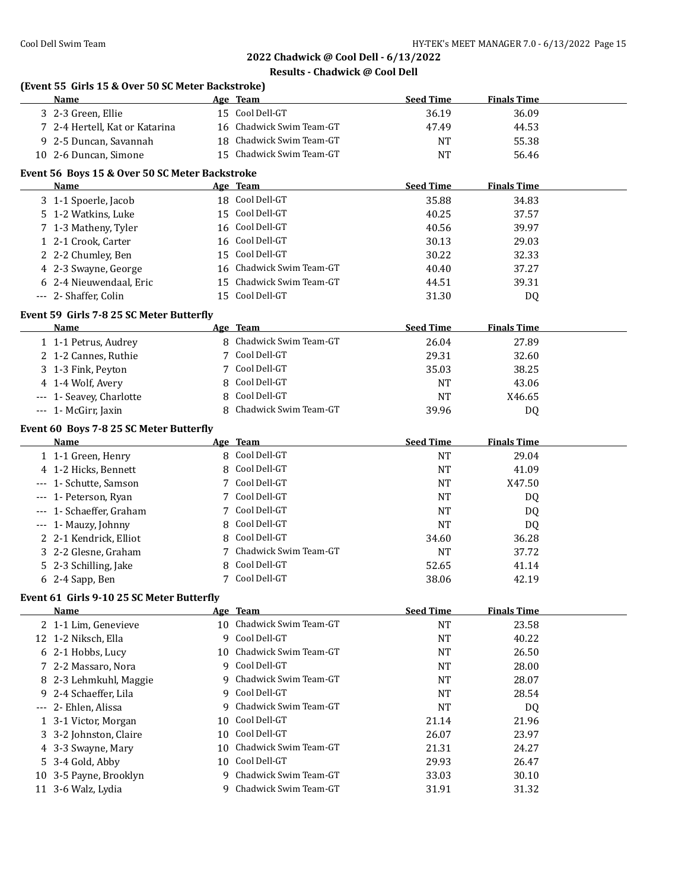|     | (Event 55 Girls 15 & Over 50 SC Meter Backstroke)<br>Name |    | Age Team                 | <b>Seed Time</b> | <b>Finals Time</b> |  |
|-----|-----------------------------------------------------------|----|--------------------------|------------------|--------------------|--|
|     | 3 2-3 Green, Ellie                                        |    | 15 Cool Dell-GT          | 36.19            | 36.09              |  |
|     | 7 2-4 Hertell, Kat or Katarina                            |    | 16 Chadwick Swim Team-GT | 47.49            | 44.53              |  |
|     | 9 2-5 Duncan, Savannah                                    |    | 18 Chadwick Swim Team-GT | NT               | 55.38              |  |
|     | 10 2-6 Duncan, Simone                                     |    | 15 Chadwick Swim Team-GT | <b>NT</b>        | 56.46              |  |
|     |                                                           |    |                          |                  |                    |  |
|     | Event 56 Boys 15 & Over 50 SC Meter Backstroke            |    |                          |                  |                    |  |
|     | Name                                                      |    | Age Team                 | <b>Seed Time</b> | <b>Finals Time</b> |  |
|     | 3 1-1 Spoerle, Jacob                                      |    | 18 Cool Dell-GT          | 35.88            | 34.83              |  |
|     | 5 1-2 Watkins, Luke                                       |    | 15 Cool Dell-GT          | 40.25            | 37.57              |  |
|     | 7 1-3 Matheny, Tyler                                      |    | 16 Cool Dell-GT          | 40.56            | 39.97              |  |
|     | 1 2-1 Crook, Carter                                       |    | 16 Cool Dell-GT          | 30.13            | 29.03              |  |
|     | 2 2-2 Chumley, Ben                                        |    | 15 Cool Dell-GT          | 30.22            | 32.33              |  |
|     | 4 2-3 Swayne, George                                      |    | 16 Chadwick Swim Team-GT | 40.40            | 37.27              |  |
|     | 6 2-4 Nieuwendaal, Eric                                   |    | 15 Chadwick Swim Team-GT | 44.51            | 39.31              |  |
|     | --- 2- Shaffer, Colin                                     |    | 15 Cool Dell-GT          | 31.30            | DQ                 |  |
|     | Event 59 Girls 7-8 25 SC Meter Butterfly                  |    |                          |                  |                    |  |
|     | <b>Name</b>                                               |    | Age Team                 | <b>Seed Time</b> | <b>Finals Time</b> |  |
|     | 1 1-1 Petrus, Audrey                                      |    | 8 Chadwick Swim Team-GT  | 26.04            | 27.89              |  |
|     | 2 1-2 Cannes, Ruthie                                      | 7  | Cool Dell-GT             | 29.31            | 32.60              |  |
|     | 3 1-3 Fink, Peyton                                        | 7  | Cool Dell-GT             | 35.03            | 38.25              |  |
|     | 4 1-4 Wolf, Avery                                         | 8  | Cool Dell-GT             | NT               | 43.06              |  |
|     | --- 1- Seavey, Charlotte                                  | 8  | Cool Dell-GT             | NT               | X46.65             |  |
|     | --- 1- McGirr, Jaxin                                      | 8  | Chadwick Swim Team-GT    | 39.96            | <b>DQ</b>          |  |
|     | Event 60 Boys 7-8 25 SC Meter Butterfly                   |    |                          |                  |                    |  |
|     | Name                                                      |    | Age Team                 | <b>Seed Time</b> | <b>Finals Time</b> |  |
|     | 1 1-1 Green, Henry                                        | 8  | Cool Dell-GT             | NT               | 29.04              |  |
|     | 4 1-2 Hicks, Bennett                                      | 8  | Cool Dell-GT             | <b>NT</b>        | 41.09              |  |
|     | --- 1- Schutte, Samson                                    | 7  | Cool Dell-GT             | NT               | X47.50             |  |
|     | --- 1- Peterson, Ryan                                     |    | 7 Cool Dell-GT           | <b>NT</b>        |                    |  |
|     | --- 1- Schaeffer, Graham                                  |    | 7 Cool Dell-GT           | <b>NT</b>        | DQ                 |  |
|     |                                                           | 8  | Cool Dell-GT             |                  | DQ                 |  |
|     | --- 1- Mauzy, Johnny<br>2 2-1 Kendrick, Elliot            |    | 8 Cool Dell-GT           | <b>NT</b>        | <b>DQ</b>          |  |
|     |                                                           |    | Chadwick Swim Team-GT    | 34.60            | 36.28              |  |
|     | 3 2-2 Glesne, Graham                                      | 7  |                          | NT               | 37.72              |  |
|     | 5 2-3 Schilling, Jake                                     | 8  | Cool Dell-GT             | 52.65            | 41.14              |  |
|     | 6 2-4 Sapp, Ben                                           |    | 7 Cool Dell-GT           | 38.06            | 42.19              |  |
|     | Event 61 Girls 9-10 25 SC Meter Butterfly                 |    |                          |                  |                    |  |
|     | Name                                                      |    | Age Team                 | <b>Seed Time</b> | <b>Finals Time</b> |  |
|     | 2 1-1 Lim, Genevieve                                      |    | 10 Chadwick Swim Team-GT | <b>NT</b>        | 23.58              |  |
|     | 12 1-2 Niksch, Ella                                       | 9  | Cool Dell-GT             | <b>NT</b>        | 40.22              |  |
|     | 6 2-1 Hobbs, Lucy                                         | 10 | Chadwick Swim Team-GT    | NT               | 26.50              |  |
|     | 7 2-2 Massaro, Nora                                       | 9  | Cool Dell-GT             | NT               | 28.00              |  |
| 8   | 2-3 Lehmkuhl, Maggie                                      | 9  | Chadwick Swim Team-GT    | NT               | 28.07              |  |
| 9.  | 2-4 Schaeffer, Lila                                       | 9  | Cool Dell-GT             | NT               | 28.54              |  |
|     | 2- Ehlen, Alissa                                          | 9  | Chadwick Swim Team-GT    | NT               | DQ                 |  |
| --- |                                                           |    |                          |                  |                    |  |
|     | 1 3-1 Victor, Morgan                                      | 10 | Cool Dell-GT             | 21.14            | 21.96              |  |
|     | 3 3-2 Johnston, Claire                                    | 10 | Cool Dell-GT             | 26.07            | 23.97              |  |
|     | 4 3-3 Swayne, Mary                                        | 10 | Chadwick Swim Team-GT    | 21.31            | 24.27              |  |
|     |                                                           | 10 | Cool Dell-GT             |                  |                    |  |
|     | 5 3-4 Gold, Abby                                          | 9  | Chadwick Swim Team-GT    | 29.93            | 26.47              |  |
|     | 10 3-5 Payne, Brooklyn<br>11 3-6 Walz, Lydia              | q  | Chadwick Swim Team-GT    | 33.03<br>31.91   | 30.10<br>31.32     |  |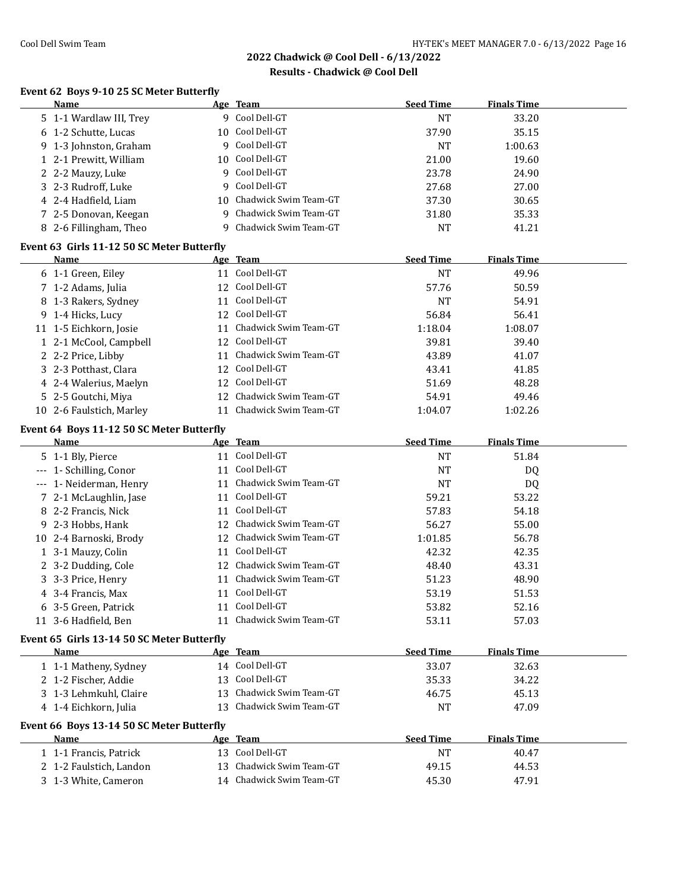# **Results - Chadwick @ Cool Dell**

#### **Event 62 Boys 9-10 25 SC Meter Butterfly**

| Name                                        |    | Age Team                 | <b>Seed Time</b>   | <b>Finals Time</b> |  |
|---------------------------------------------|----|--------------------------|--------------------|--------------------|--|
| 5 1-1 Wardlaw III, Trey                     |    | 9 Cool Dell-GT           | <b>NT</b>          | 33.20              |  |
| 6 1-2 Schutte, Lucas                        | 10 | Cool Dell-GT             | 37.90              | 35.15              |  |
| 9 1-3 Johnston, Graham                      |    | 9 Cool Dell-GT           | <b>NT</b>          | 1:00.63            |  |
| 1 2-1 Prewitt, William                      | 10 | Cool Dell-GT             | 21.00              | 19.60              |  |
| 2 2-2 Mauzy, Luke                           | 9  | Cool Dell-GT             | 23.78              | 24.90              |  |
| 3 2-3 Rudroff, Luke                         | 9  | Cool Dell-GT             | 27.68              | 27.00              |  |
| 4 2-4 Hadfield, Liam                        |    | 10 Chadwick Swim Team-GT | 37.30              | 30.65              |  |
| 7 2-5 Donovan, Keegan                       | 9  | Chadwick Swim Team-GT    | 31.80              | 35.33              |  |
| 8 2-6 Fillingham, Theo                      | 9  | Chadwick Swim Team-GT    | <b>NT</b>          | 41.21              |  |
| Event 63 Girls 11-12 50 SC Meter Butterfly  |    |                          |                    |                    |  |
| Name                                        |    | Age Team                 | <b>Seed Time</b>   | <b>Finals Time</b> |  |
|                                             |    | 11 Cool Dell-GT          | <b>NT</b>          | 49.96              |  |
| 6 1-1 Green, Eiley                          |    | 12 Cool Dell-GT          | 57.76              | 50.59              |  |
| 7 1-2 Adams, Julia                          |    | 11 Cool Dell-GT          |                    |                    |  |
| 8 1-3 Rakers, Sydney                        |    | 12 Cool Dell-GT          | <b>NT</b><br>56.84 | 54.91<br>56.41     |  |
| 9 1-4 Hicks, Lucy<br>11 1-5 Eichkorn, Josie |    | 11 Chadwick Swim Team-GT |                    | 1:08.07            |  |
|                                             |    | 12 Cool Dell-GT          | 1:18.04            |                    |  |
| 1 2-1 McCool, Campbell                      |    |                          | 39.81              | 39.40              |  |
| 2 2-2 Price, Libby                          |    | 11 Chadwick Swim Team-GT | 43.89              | 41.07              |  |
| 3 2-3 Potthast, Clara                       |    | 12 Cool Dell-GT          | 43.41              | 41.85              |  |
| 4 2-4 Walerius, Maelyn                      |    | 12 Cool Dell-GT          | 51.69              | 48.28              |  |
| 5 2-5 Goutchi, Miya                         |    | 12 Chadwick Swim Team-GT | 54.91              | 49.46              |  |
| 10 2-6 Faulstich, Marley                    |    | 11 Chadwick Swim Team-GT | 1:04.07            | 1:02.26            |  |
| Event 64 Boys 11-12 50 SC Meter Butterfly   |    |                          |                    |                    |  |
| <b>Name</b>                                 |    | Age Team                 | <b>Seed Time</b>   | <b>Finals Time</b> |  |
| 5 1-1 Bly, Pierce                           |    | 11 Cool Dell-GT          | <b>NT</b>          | 51.84              |  |
| --- 1- Schilling, Conor                     |    | 11 Cool Dell-GT          | <b>NT</b>          | DQ                 |  |
| --- 1- Neiderman, Henry                     |    | 11 Chadwick Swim Team-GT | <b>NT</b>          | DQ                 |  |
| 7 2-1 McLaughlin, Jase                      |    | 11 Cool Dell-GT          | 59.21              | 53.22              |  |
| 8 2-2 Francis, Nick                         |    | 11 Cool Dell-GT          | 57.83              | 54.18              |  |
| 9 2-3 Hobbs, Hank                           |    | 12 Chadwick Swim Team-GT | 56.27              | 55.00              |  |
| 10 2-4 Barnoski, Brody                      |    | 12 Chadwick Swim Team-GT | 1:01.85            | 56.78              |  |
| 1 3-1 Mauzy, Colin                          |    | 11 Cool Dell-GT          | 42.32              | 42.35              |  |
| 2 3-2 Dudding, Cole                         |    | 12 Chadwick Swim Team-GT | 48.40              | 43.31              |  |
| 3 3-3 Price, Henry                          | 11 | Chadwick Swim Team-GT    | 51.23              | 48.90              |  |
| 4 3-4 Francis, Max                          |    | 11 Cool Dell-GT          | 53.19              | 51.53              |  |
| 6 3-5 Green, Patrick                        |    | 11 Cool Dell-GT          | 53.82              | 52.16              |  |
| 11 3-6 Hadfield, Ben                        |    | 11 Chadwick Swim Team-GT | 53.11              | 57.03              |  |
| Event 65 Girls 13-14 50 SC Meter Butterfly  |    |                          |                    |                    |  |
| Name                                        |    | Age Team                 | <b>Seed Time</b>   | <b>Finals Time</b> |  |
| 1 1-1 Matheny, Sydney                       |    | 14 Cool Dell-GT          | 33.07              | 32.63              |  |
| 2 1-2 Fischer, Addie                        | 13 | Cool Dell-GT             | 35.33              | 34.22              |  |
| 3 1-3 Lehmkuhl, Claire                      | 13 | Chadwick Swim Team-GT    | 46.75              | 45.13              |  |
| 4 1-4 Eichkorn, Julia                       | 13 | Chadwick Swim Team-GT    | <b>NT</b>          | 47.09              |  |
|                                             |    |                          |                    |                    |  |
| Event 66 Boys 13-14 50 SC Meter Butterfly   |    |                          |                    |                    |  |
| <b>Name</b>                                 |    | Age Team                 | <b>Seed Time</b>   | <b>Finals Time</b> |  |
| 1 1-1 Francis, Patrick                      |    | 13 Cool Dell-GT          | <b>NT</b>          | 40.47              |  |
| 2 1-2 Faulstich, Landon                     |    | 13 Chadwick Swim Team-GT | 49.15              | 44.53              |  |
| 3 1-3 White, Cameron                        |    | 14 Chadwick Swim Team-GT | 45.30              | 47.91              |  |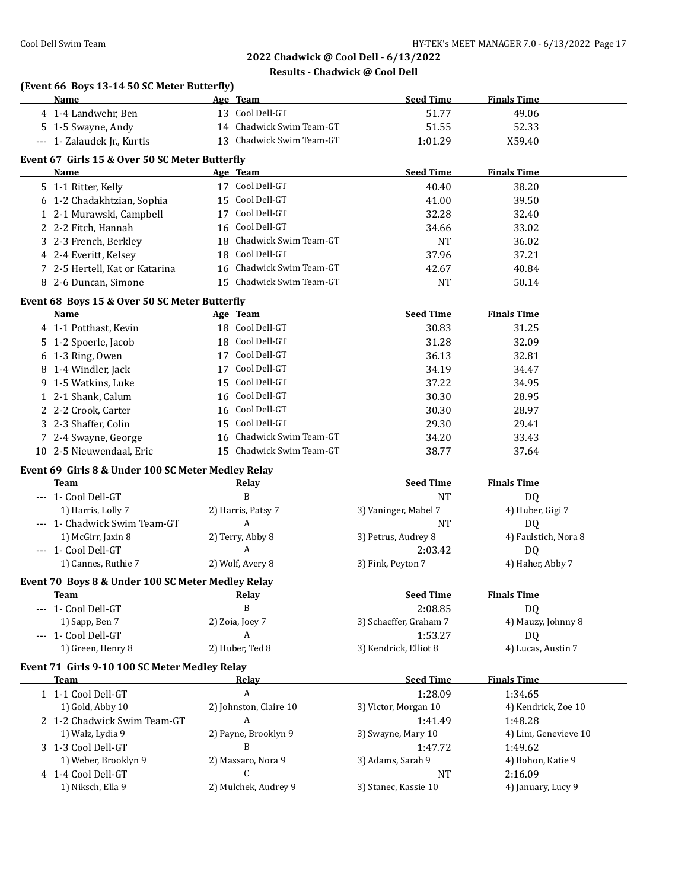| Name                                                  | Age Team                 | <b>Seed Time</b>                | <b>Finals Time</b>             |
|-------------------------------------------------------|--------------------------|---------------------------------|--------------------------------|
| 4 1-4 Landwehr, Ben                                   | 13 Cool Dell-GT          | 51.77                           | 49.06                          |
| 5 1-5 Swayne, Andy                                    | 14 Chadwick Swim Team-GT | 51.55                           | 52.33                          |
| --- 1- Zalaudek Jr., Kurtis                           | 13 Chadwick Swim Team-GT | 1:01.29                         | X59.40                         |
| Event 67 Girls 15 & Over 50 SC Meter Butterfly        |                          |                                 |                                |
| <b>Name</b>                                           | Age Team                 | <b>Seed Time</b>                | <b>Finals Time</b>             |
| 5 1-1 Ritter, Kelly                                   | 17 Cool Dell-GT          | 40.40                           | 38.20                          |
| 6 1-2 Chadakhtzian, Sophia                            | 15 Cool Dell-GT          | 41.00                           | 39.50                          |
| 1 2-1 Murawski, Campbell                              | 17 Cool Dell-GT          | 32.28                           | 32.40                          |
| 2 2-2 Fitch, Hannah                                   | 16 Cool Dell-GT          | 34.66                           | 33.02                          |
| 3 2-3 French, Berkley                                 | 18 Chadwick Swim Team-GT | NT                              | 36.02                          |
| 4 2-4 Everitt, Kelsey                                 | 18 Cool Dell-GT          | 37.96                           | 37.21                          |
| 7 2-5 Hertell, Kat or Katarina                        | 16 Chadwick Swim Team-GT | 42.67                           | 40.84                          |
|                                                       | 15 Chadwick Swim Team-GT |                                 |                                |
| 8 2-6 Duncan, Simone                                  |                          | NT                              | 50.14                          |
| Event 68 Boys 15 & Over 50 SC Meter Butterfly         |                          |                                 |                                |
| Name                                                  | Age Team                 | <b>Seed Time</b>                | <b>Finals Time</b>             |
| 4 1-1 Potthast, Kevin                                 | 18 Cool Dell-GT          | 30.83                           | 31.25                          |
| 5 1-2 Spoerle, Jacob                                  | 18 Cool Dell-GT          | 31.28                           | 32.09                          |
| 6 1-3 Ring, Owen                                      | 17 Cool Dell-GT          | 36.13                           | 32.81                          |
| 8 1-4 Windler, Jack                                   | 17 Cool Dell-GT          | 34.19                           | 34.47                          |
| 9 1-5 Watkins, Luke                                   | 15 Cool Dell-GT          | 37.22                           | 34.95                          |
| 1 2-1 Shank, Calum                                    | 16 Cool Dell-GT          | 30.30                           | 28.95                          |
| 2 2-2 Crook, Carter                                   | 16 Cool Dell-GT          | 30.30                           | 28.97                          |
| 3 2-3 Shaffer, Colin                                  | 15 Cool Dell-GT          | 29.30                           | 29.41                          |
| 7 2-4 Swayne, George                                  | 16 Chadwick Swim Team-GT | 34.20                           | 33.43                          |
| 10 2-5 Nieuwendaal, Eric                              | 15 Chadwick Swim Team-GT | 38.77                           | 37.64                          |
| Event 69 Girls 8 & Under 100 SC Meter Medley Relay    |                          |                                 |                                |
| Team                                                  | <b>Relay</b>             | <b>Seed Time</b>                | <b>Finals Time</b>             |
| --- 1- Cool Dell-GT                                   | B                        | <b>NT</b>                       | DQ                             |
| 1) Harris, Lolly 7                                    | 2) Harris, Patsy 7       | 3) Vaninger, Mabel 7            | 4) Huber, Gigi 7               |
| --- 1- Chadwick Swim Team-GT                          | A                        | <b>NT</b>                       | DQ                             |
| 1) McGirr, Jaxin 8                                    | 2) Terry, Abby 8         | 3) Petrus, Audrey 8             | 4) Faulstich, Nora 8           |
| --- 1- Cool Dell-GT                                   | A                        | 2:03.42                         | DQ                             |
| 1) Cannes, Ruthie 7                                   | 2) Wolf, Avery 8         | 3) Fink, Peyton 7               | 4) Haher, Abby 7               |
| Event 70 Boys 8 & Under 100 SC Meter Medley Relay     |                          |                                 |                                |
| <u>Team</u>                                           | <u>Relav</u>             | <b>Seed Time</b>                | <b>Finals Time</b>             |
| --- 1- Cool Dell-GT                                   | B                        | 2:08.85                         | DQ                             |
| 1) Sapp, Ben 7                                        | 2) Zoia, Joey 7          | 3) Schaeffer, Graham 7          | 4) Mauzy, Johnny 8             |
| --- 1- Cool Dell-GT                                   | A                        | 1:53.27                         | <b>DQ</b>                      |
| 1) Green, Henry 8                                     | 2) Huber, Ted 8          | 3) Kendrick, Elliot 8           | 4) Lucas, Austin 7             |
|                                                       |                          |                                 |                                |
| Event 71 Girls 9-10 100 SC Meter Medley Relay<br>Team |                          | <b>Seed Time</b>                | <b>Finals Time</b>             |
| 1 1-1 Cool Dell-GT                                    | <b>Relay</b><br>A        |                                 |                                |
| 1) Gold, Abby 10                                      | 2) Johnston, Claire 10   | 1:28.09<br>3) Victor, Morgan 10 | 1:34.65                        |
| 2 1-2 Chadwick Swim Team-GT                           | A                        | 1:41.49                         | 4) Kendrick, Zoe 10<br>1:48.28 |
| 1) Walz, Lydia 9                                      | 2) Payne, Brooklyn 9     | 3) Swayne, Mary 10              | 4) Lim, Genevieve 10           |
| 3 1-3 Cool Dell-GT                                    | B                        | 1:47.72                         | 1:49.62                        |
| 1) Weber, Brooklyn 9                                  | 2) Massaro, Nora 9       | 3) Adams, Sarah 9               | 4) Bohon, Katie 9              |
| 4 1-4 Cool Dell-GT                                    | C                        | NT                              | 2:16.09                        |
| 1) Niksch, Ella 9                                     | 2) Mulchek, Audrey 9     | 3) Stanec, Kassie 10            | 4) January, Lucy 9             |
|                                                       |                          |                                 |                                |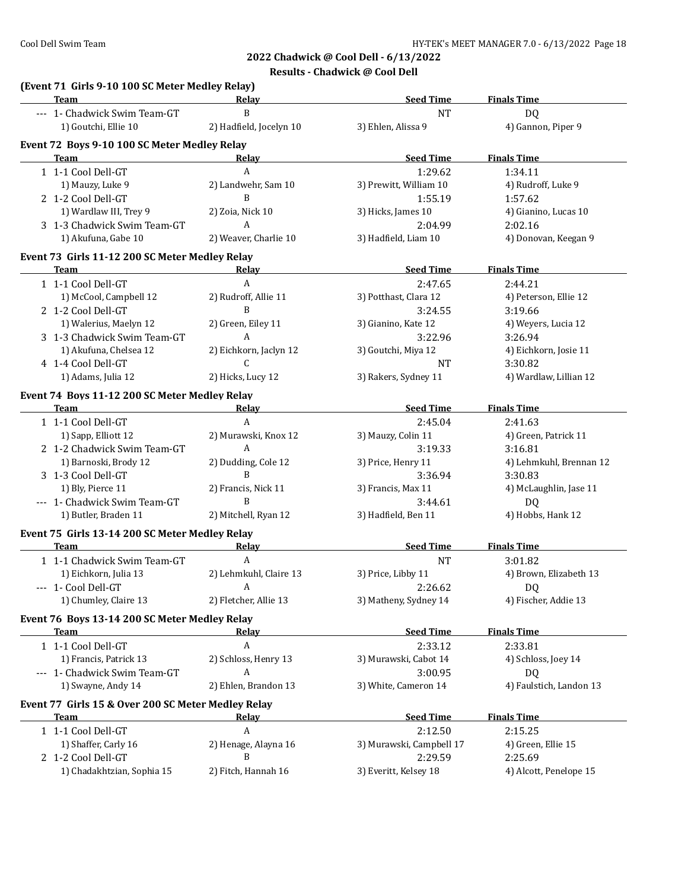| Team                                             | (Event 71 Girls 9-10 100 SC Meter Medley Relay)<br>Relay | <b>Seed Time</b>                 | <b>Finals Time</b>                |
|--------------------------------------------------|----------------------------------------------------------|----------------------------------|-----------------------------------|
| --- 1- Chadwick Swim Team-GT                     | B                                                        | <b>NT</b>                        | <b>DQ</b>                         |
| 1) Goutchi, Ellie 10                             | 2) Hadfield, Jocelyn 10                                  | 3) Ehlen, Alissa 9               | 4) Gannon, Piper 9                |
|                                                  | Event 72 Boys 9-10 100 SC Meter Medley Relay             |                                  |                                   |
| Team                                             | Relay                                                    | <b>Seed Time</b>                 | <b>Finals Time</b>                |
| 1 1-1 Cool Dell-GT                               | A                                                        | 1:29.62                          | 1:34.11                           |
| 1) Mauzy, Luke 9                                 | 2) Landwehr, Sam 10                                      | 3) Prewitt, William 10           | 4) Rudroff, Luke 9                |
| 2 1-2 Cool Dell-GT                               | B                                                        | 1:55.19                          | 1:57.62                           |
| 1) Wardlaw III, Trey 9                           | 2) Zoia, Nick 10                                         | 3) Hicks, James 10               | 4) Gianino, Lucas 10              |
| 3 1-3 Chadwick Swim Team-GT                      | A                                                        | 2:04.99                          | 2:02.16                           |
| 1) Akufuna, Gabe 10                              | 2) Weaver, Charlie 10                                    | 3) Hadfield, Liam 10             | 4) Donovan, Keegan 9              |
|                                                  | Event 73 Girls 11-12 200 SC Meter Medley Relay           |                                  |                                   |
| <b>Team</b>                                      | Relay                                                    | <b>Seed Time</b>                 | <b>Finals Time</b>                |
| 1 1-1 Cool Dell-GT                               | A                                                        | 2:47.65                          | 2:44.21                           |
| 1) McCool, Campbell 12                           | 2) Rudroff, Allie 11                                     | 3) Potthast, Clara 12            | 4) Peterson, Ellie 12             |
| 2 1-2 Cool Dell-GT                               | $\mathbf B$                                              | 3:24.55                          | 3:19.66                           |
| 1) Walerius, Maelyn 12                           | 2) Green, Eiley 11                                       | 3) Gianino, Kate 12              | 4) Weyers, Lucia 12               |
| 3 1-3 Chadwick Swim Team-GT                      | A                                                        | 3:22.96                          | 3:26.94                           |
| 1) Akufuna, Chelsea 12                           | 2) Eichkorn, Jaclyn 12                                   | 3) Goutchi, Miya 12              | 4) Eichkorn, Josie 11             |
| 4 1-4 Cool Dell-GT                               | C                                                        | NT                               | 3:30.82                           |
| 1) Adams, Julia 12                               | 2) Hicks, Lucy 12                                        | 3) Rakers, Sydney 11             | 4) Wardlaw, Lillian 12            |
|                                                  | Event 74 Boys 11-12 200 SC Meter Medley Relay            |                                  |                                   |
| Team                                             | Relay                                                    | <b>Seed Time</b>                 | <b>Finals Time</b>                |
| 1 1-1 Cool Dell-GT                               | A                                                        | 2:45.04                          | 2:41.63                           |
| 1) Sapp, Elliott 12                              | 2) Murawski, Knox 12                                     | 3) Mauzy, Colin 11               | 4) Green, Patrick 11              |
| 2 1-2 Chadwick Swim Team-GT                      | A                                                        | 3:19.33                          | 3:16.81                           |
| 1) Barnoski, Brody 12                            | 2) Dudding, Cole 12                                      | 3) Price, Henry 11               | 4) Lehmkuhl, Brennan 12           |
| 3 1-3 Cool Dell-GT                               | B                                                        | 3:36.94                          | 3:30.83                           |
| 1) Bly, Pierce 11                                | 2) Francis, Nick 11                                      | 3) Francis, Max 11               | 4) McLaughlin, Jase 11            |
| --- 1- Chadwick Swim Team-GT                     | B                                                        | 3:44.61                          | DQ                                |
| 1) Butler, Braden 11                             | 2) Mitchell, Ryan 12                                     | 3) Hadfield, Ben 11              | 4) Hobbs, Hank 12                 |
|                                                  | Event 75 Girls 13-14 200 SC Meter Medley Relay           |                                  |                                   |
| <b>Team</b>                                      | Relay                                                    | <b>Seed Time</b>                 | <b>Finals Time</b>                |
| 1 1-1 Chadwick Swim Team-GT                      | $\boldsymbol{A}$                                         | <b>NT</b>                        | 3:01.82                           |
| 1) Eichkorn, Julia 13                            | 2) Lehmkuhl, Claire 13                                   | 3) Price, Libby 11               | 4) Brown, Elizabeth 13            |
| --- 1- Cool Dell-GT                              | $\boldsymbol{A}$                                         | 2:26.62                          | <b>DQ</b>                         |
| 1) Chumley, Claire 13                            | 2) Fletcher, Allie 13                                    | 3) Matheny, Sydney 14            | 4) Fischer, Addie 13              |
|                                                  |                                                          |                                  |                                   |
|                                                  | Event 76 Boys 13-14 200 SC Meter Medley Relay            |                                  |                                   |
| Team                                             | <u>Relav</u>                                             | <b>Seed Time</b>                 | <b>Finals Time</b>                |
| 1 1-1 Cool Dell-GT                               | A                                                        | 2:33.12                          | 2:33.81                           |
| 1) Francis, Patrick 13                           | 2) Schloss, Henry 13                                     | 3) Murawski, Cabot 14            | 4) Schloss, Joey 14               |
| --- 1- Chadwick Swim Team-GT                     | A                                                        | 3:00.95                          | DQ                                |
| 1) Swayne, Andy 14                               | 2) Ehlen, Brandon 13                                     | 3) White, Cameron 14             | 4) Faulstich, Landon 13           |
|                                                  | Event 77 Girls 15 & Over 200 SC Meter Medley Relay       |                                  |                                   |
| Team                                             | <u>Relay</u>                                             | <b>Seed Time</b>                 | <b>Finals Time</b>                |
| 1 1-1 Cool Dell-GT                               | A                                                        | 2:12.50                          | 2:15.25                           |
| 1) Shaffer, Carly 16                             | 2) Henage, Alayna 16                                     | 3) Murawski, Campbell 17         | 4) Green, Ellie 15                |
|                                                  |                                                          |                                  |                                   |
| 2 1-2 Cool Dell-GT<br>1) Chadakhtzian, Sophia 15 | B<br>2) Fitch, Hannah 16                                 | 2:29.59<br>3) Everitt, Kelsey 18 | 2:25.69<br>4) Alcott, Penelope 15 |